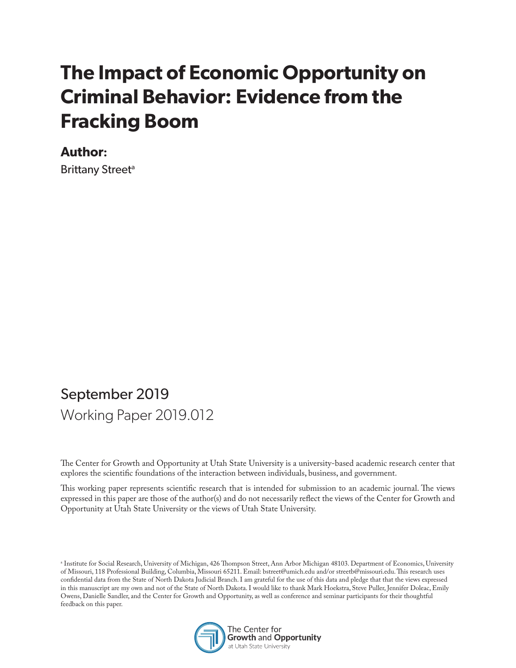# **The Impact of Economic Opportunity on Criminal Behavior: Evidence from the Fracking Boom**

#### **Author:**

Brittany Street<sup>a</sup>

# September 2019 Working Paper 2019.012

The Center for Growth and Opportunity at Utah State University is a university-based academic research center that explores the scientific foundations of the interaction between individuals, business, and government.

This working paper represents scientific research that is intended for submission to an academic journal. The views expressed in this paper are those of the author(s) and do not necessarily reflect the views of the Center for Growth and Opportunity at Utah State University or the views of Utah State University.

a Institute for Social Research, University of Michigan, 426 Thompson Street, Ann Arbor Michigan 48103. Department of Economics, University of Missouri, 118 Professional Building, Columbia, Missouri 65211. Email: bstreet@umich.edu and/or streetb@missouri.edu. This research uses confidential data from the State of North Dakota Judicial Branch. I am grateful for the use of this data and pledge that that the views expressed in this manuscript are my own and not of the State of North Dakota. I would like to thank Mark Hoekstra, Steve Puller, Jennifer Doleac, Emily Owens, Danielle Sandler, and the Center for Growth and Opportunity, as well as conference and seminar participants for their thoughtful feedback on this paper.

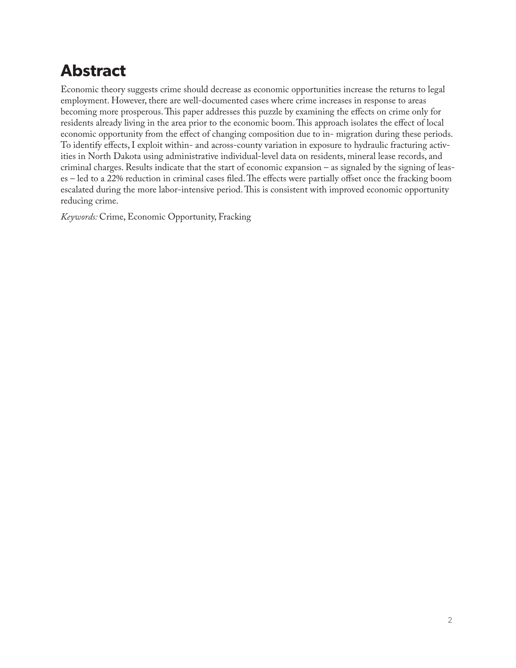# **Abstract**

Economic theory suggests crime should decrease as economic opportunities increase the returns to legal employment. However, there are well-documented cases where crime increases in response to areas becoming more prosperous. This paper addresses this puzzle by examining the effects on crime only for residents already living in the area prior to the economic boom. This approach isolates the effect of local economic opportunity from the effect of changing composition due to in- migration during these periods. To identify effects, I exploit within- and across-county variation in exposure to hydraulic fracturing activities in North Dakota using administrative individual-level data on residents, mineral lease records, and criminal charges. Results indicate that the start of economic expansion – as signaled by the signing of leases – led to a 22% reduction in criminal cases filed. The effects were partially offset once the fracking boom escalated during the more labor-intensive period. This is consistent with improved economic opportunity reducing crime.

*Keywords:* Crime, Economic Opportunity, Fracking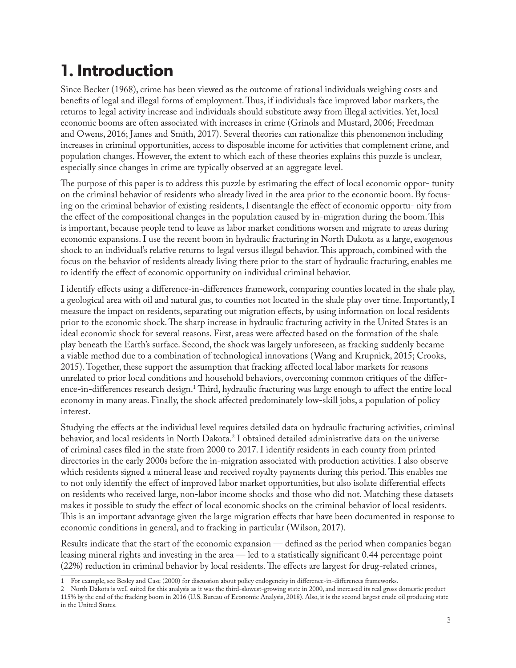# **1. Introduction**

Since Becker (1968), crime has been viewed as the outcome of rational individuals weighing costs and benefits of legal and illegal forms of employment. Thus, if individuals face improved labor markets, the returns to legal activity increase and individuals should substitute away from illegal activities. Yet, local economic booms are often associated with increases in crime (Grinols and Mustard, 2006; Freedman and Owens, 2016; James and Smith, 2017). Several theories can rationalize this phenomenon including increases in criminal opportunities, access to disposable income for activities that complement crime, and population changes. However, the extent to which each of these theories explains this puzzle is unclear, especially since changes in crime are typically observed at an aggregate level.

The purpose of this paper is to address this puzzle by estimating the effect of local economic oppor- tunity on the criminal behavior of residents who already lived in the area prior to the economic boom. By focusing on the criminal behavior of existing residents, I disentangle the effect of economic opportu- nity from the effect of the compositional changes in the population caused by in-migration during the boom. This is important, because people tend to leave as labor market conditions worsen and migrate to areas during economic expansions. I use the recent boom in hydraulic fracturing in North Dakota as a large, exogenous shock to an individual's relative returns to legal versus illegal behavior. This approach, combined with the focus on the behavior of residents already living there prior to the start of hydraulic fracturing, enables me to identify the effect of economic opportunity on individual criminal behavior.

I identify effects using a difference-in-differences framework, comparing counties located in the shale play, a geological area with oil and natural gas, to counties not located in the shale play over time. Importantly, I measure the impact on residents, separating out migration effects, by using information on local residents prior to the economic shock. The sharp increase in hydraulic fracturing activity in the United States is an ideal economic shock for several reasons. First, areas were affected based on the formation of the shale play beneath the Earth's surface. Second, the shock was largely unforeseen, as fracking suddenly became a viable method due to a combination of technological innovations (Wang and Krupnick, 2015; Crooks, 2015). Together, these support the assumption that fracking affected local labor markets for reasons unrelated to prior local conditions and household behaviors, overcoming common critiques of the difference-in-differences research design.1 Third, hydraulic fracturing was large enough to affect the entire local economy in many areas. Finally, the shock affected predominately low-skill jobs, a population of policy interest.

Studying the effects at the individual level requires detailed data on hydraulic fracturing activities, criminal behavior, and local residents in North Dakota.<sup>2</sup> I obtained detailed administrative data on the universe of criminal cases filed in the state from 2000 to 2017. I identify residents in each county from printed directories in the early 2000s before the in-migration associated with production activities. I also observe which residents signed a mineral lease and received royalty payments during this period. This enables me to not only identify the effect of improved labor market opportunities, but also isolate differential effects on residents who received large, non-labor income shocks and those who did not. Matching these datasets makes it possible to study the effect of local economic shocks on the criminal behavior of local residents. This is an important advantage given the large migration effects that have been documented in response to economic conditions in general, and to fracking in particular (Wilson, 2017).

Results indicate that the start of the economic expansion — defined as the period when companies began leasing mineral rights and investing in the area — led to a statistically significant 0.44 percentage point (22%) reduction in criminal behavior by local residents. The effects are largest for drug-related crimes,

<sup>1</sup> For example, see Besley and Case (2000) for discussion about policy endogeneity in difference-in-differences frameworks.

<sup>2</sup> North Dakota is well suited for this analysis as it was the third-slowest-growing state in 2000, and increased its real gross domestic product 115% by the end of the fracking boom in 2016 (U.S. Bureau of Economic Analysis, 2018). Also, it is the second largest crude oil producing state in the United States.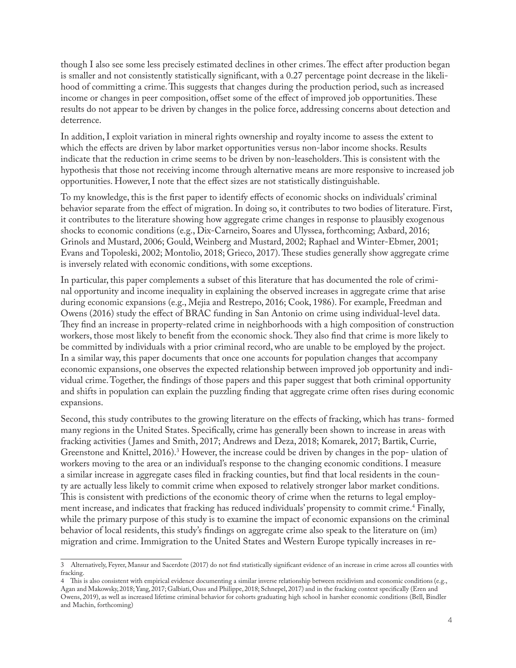though I also see some less precisely estimated declines in other crimes. The effect after production began is smaller and not consistently statistically significant, with a 0.27 percentage point decrease in the likelihood of committing a crime. This suggests that changes during the production period, such as increased income or changes in peer composition, offset some of the effect of improved job opportunities. These results do not appear to be driven by changes in the police force, addressing concerns about detection and deterrence.

In addition, I exploit variation in mineral rights ownership and royalty income to assess the extent to which the effects are driven by labor market opportunities versus non-labor income shocks. Results indicate that the reduction in crime seems to be driven by non-leaseholders. This is consistent with the hypothesis that those not receiving income through alternative means are more responsive to increased job opportunities. However, I note that the effect sizes are not statistically distinguishable.

To my knowledge, this is the first paper to identify effects of economic shocks on individuals' criminal behavior separate from the effect of migration. In doing so, it contributes to two bodies of literature. First, it contributes to the literature showing how aggregate crime changes in response to plausibly exogenous shocks to economic conditions (e.g., Dix-Carneiro, Soares and Ulyssea, forthcoming; Axbard, 2016; Grinols and Mustard, 2006; Gould, Weinberg and Mustard, 2002; Raphael and Winter-Ebmer, 2001; Evans and Topoleski, 2002; Montolio, 2018; Grieco, 2017). These studies generally show aggregate crime is inversely related with economic conditions, with some exceptions.

In particular, this paper complements a subset of this literature that has documented the role of criminal opportunity and income inequality in explaining the observed increases in aggregate crime that arise during economic expansions (e.g., Mejia and Restrepo, 2016; Cook, 1986). For example, Freedman and Owens (2016) study the effect of BRAC funding in San Antonio on crime using individual-level data. They find an increase in property-related crime in neighborhoods with a high composition of construction workers, those most likely to benefit from the economic shock. They also find that crime is more likely to be committed by individuals with a prior criminal record, who are unable to be employed by the project. In a similar way, this paper documents that once one accounts for population changes that accompany economic expansions, one observes the expected relationship between improved job opportunity and individual crime. Together, the findings of those papers and this paper suggest that both criminal opportunity and shifts in population can explain the puzzling finding that aggregate crime often rises during economic expansions.

Second, this study contributes to the growing literature on the effects of fracking, which has trans- formed many regions in the United States. Specifically, crime has generally been shown to increase in areas with fracking activities ( James and Smith, 2017; Andrews and Deza, 2018; Komarek, 2017; Bartik, Currie, Greenstone and Knittel, 2016).<sup>3</sup> However, the increase could be driven by changes in the pop- ulation of workers moving to the area or an individual's response to the changing economic conditions. I measure a similar increase in aggregate cases filed in fracking counties, but find that local residents in the county are actually less likely to commit crime when exposed to relatively stronger labor market conditions. This is consistent with predictions of the economic theory of crime when the returns to legal employment increase, and indicates that fracking has reduced individuals' propensity to commit crime.4 Finally, while the primary purpose of this study is to examine the impact of economic expansions on the criminal behavior of local residents, this study's findings on aggregate crime also speak to the literature on (im) migration and crime. Immigration to the United States and Western Europe typically increases in re-

<sup>3</sup> Alternatively, Feyrer, Mansur and Sacerdote (2017) do not find statistically significant evidence of an increase in crime across all counties with fracking.

<sup>4</sup> This is also consistent with empirical evidence documenting a similar inverse relationship between recidivism and economic conditions (e.g., Agan and Makowsky, 2018; Yang, 2017; Galbiati, Ouss and Philippe, 2018; Schnepel, 2017) and in the fracking context specifically (Eren and Owens, 2019), as well as increased lifetime criminal behavior for cohorts graduating high school in harsher economic conditions (Bell, Bindler and Machin, forthcoming)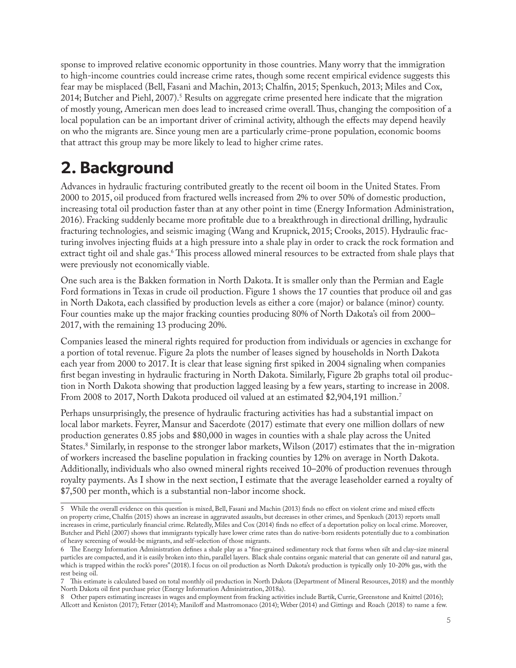sponse to improved relative economic opportunity in those countries. Many worry that the immigration to high-income countries could increase crime rates, though some recent empirical evidence suggests this fear may be misplaced (Bell, Fasani and Machin, 2013; Chalfin, 2015; Spenkuch, 2013; Miles and Cox, 2014; Butcher and Piehl, 2007).<sup>5</sup> Results on aggregate crime presented here indicate that the migration of mostly young, American men does lead to increased crime overall. Thus, changing the composition of a local population can be an important driver of criminal activity, although the effects may depend heavily on who the migrants are. Since young men are a particularly crime-prone population, economic booms that attract this group may be more likely to lead to higher crime rates.

# **2. Background**

Advances in hydraulic fracturing contributed greatly to the recent oil boom in the United States. From 2000 to 2015, oil produced from fractured wells increased from 2% to over 50% of domestic production, increasing total oil production faster than at any other point in time (Energy Information Administration, 2016). Fracking suddenly became more profitable due to a breakthrough in directional drilling, hydraulic fracturing technologies, and seismic imaging (Wang and Krupnick, 2015; Crooks, 2015). Hydraulic fracturing involves injecting fluids at a high pressure into a shale play in order to crack the rock formation and extract tight oil and shale gas.<sup>6</sup> This process allowed mineral resources to be extracted from shale plays that were previously not economically viable.

One such area is the Bakken formation in North Dakota. It is smaller only than the Permian and Eagle Ford formations in Texas in crude oil production. Figure 1 shows the 17 counties that produce oil and gas in North Dakota, each classified by production levels as either a core (major) or balance (minor) county. Four counties make up the major fracking counties producing 80% of North Dakota's oil from 2000– 2017, with the remaining 13 producing 20%.

Companies leased the mineral rights required for production from individuals or agencies in exchange for a portion of total revenue. Figure 2a plots the number of leases signed by households in North Dakota each year from 2000 to 2017. It is clear that lease signing first spiked in 2004 signaling when companies first began investing in hydraulic fracturing in North Dakota. Similarly, Figure 2b graphs total oil production in North Dakota showing that production lagged leasing by a few years, starting to increase in 2008. From 2008 to 2017, North Dakota produced oil valued at an estimated \$2,904,191 million.<sup>7</sup>

Perhaps unsurprisingly, the presence of hydraulic fracturing activities has had a substantial impact on local labor markets. Feyrer, Mansur and Sacerdote (2017) estimate that every one million dollars of new production generates 0.85 jobs and \$80,000 in wages in counties with a shale play across the United States.8 Similarly, in response to the stronger labor markets, Wilson (2017) estimates that the in-migration of workers increased the baseline population in fracking counties by 12% on average in North Dakota. Additionally, individuals who also owned mineral rights received 10–20% of production revenues through royalty payments. As I show in the next section, I estimate that the average leaseholder earned a royalty of \$7,500 per month, which is a substantial non-labor income shock.

<sup>5</sup> While the overall evidence on this question is mixed, Bell, Fasani and Machin (2013) finds no effect on violent crime and mixed effects on property crime, Chalfin (2015) shows an increase in aggravated assaults, but decreases in other crimes, and Spenkuch (2013) reports small increases in crime, particularly financial crime. Relatedly, Miles and Cox (2014) finds no effect of a deportation policy on local crime. Moreover, Butcher and Piehl (2007) shows that immigrants typically have lower crime rates than do native-born residents potentially due to a combination of heavy screening of would-be migrants, and self-selection of those migrants.

<sup>6</sup> The Energy Information Administration defines a shale play as a "fine-grained sedimentary rock that forms when silt and clay-size mineral particles are compacted, and it is easily broken into thin, parallel layers. Black shale contains organic material that can generate oil and natural gas, which is trapped within the rock's pores" (2018). I focus on oil production as North Dakota's production is typically only 10-20% gas, with the rest being oil.

<sup>7</sup> This estimate is calculated based on total monthly oil production in North Dakota (Department of Mineral Resources, 2018) and the monthly North Dakota oil first purchase price (Energy Information Administration, 2018a).

<sup>8</sup> Other papers estimating increases in wages and employment from fracking activities include Bartik, Currie, Greenstone and Knittel (2016); Allcott and Keniston (2017); Fetzer (2014); Maniloff and Mastromonaco (2014); Weber (2014) and Gittings and Roach (2018) to name a few.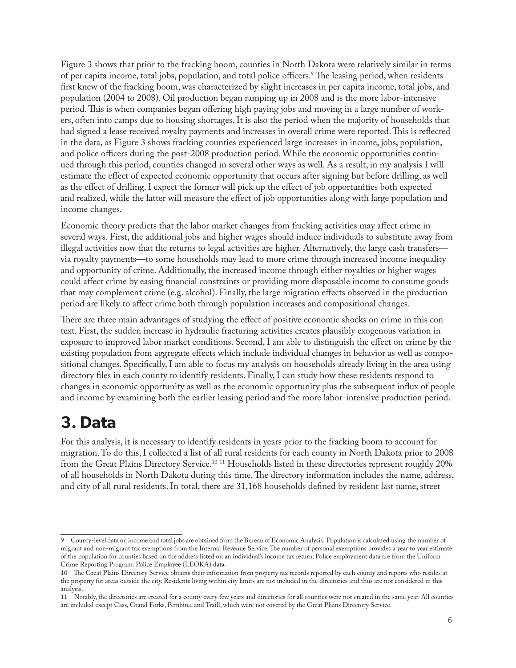Figure 3 shows that prior to the fracking boom, counties in North Dakota were relatively similar in terms of per capita income, total jobs, population, and total police officers.9 The leasing period, when residents first knew of the fracking boom, was characterized by slight increases in per capita income, total jobs, and population (2004 to 2008). Oil production began ramping up in 2008 and is the more labor-intensive period. This is when companies began offering high paying jobs and moving in a large number of workers, often into camps due to housing shortages. It is also the period when the majority of households that had signed a lease received royalty payments and increases in overall crime were reported. This is reflected in the data, as Figure 3 shows fracking counties experienced large increases in income, jobs, population, and police officers during the post-2008 production period. While the economic opportunities continued through this period, counties changed in several other ways as well. As a result, in my analysis I will estimate the effect of expected economic opportunity that occurs after signing but before drilling, as well as the effect of drilling. I expect the former will pick up the effect of job opportunities both expected and realized, while the latter will measure the effect of job opportunities along with large population and income changes.

Economic theory predicts that the labor market changes from fracking activities may affect crime in several ways. First, the additional jobs and higher wages should induce individuals to substitute away from illegal activities now that the returns to legal activities are higher. Alternatively, the large cash transfers via royalty payments—to some households may lead to more crime through increased income inequality and opportunity of crime. Additionally, the increased income through either royalties or higher wages could affect crime by easing financial constraints or providing more disposable income to consume goods that may complement crime (e.g. alcohol). Finally, the large migration effects observed in the production period are likely to affect crime both through population increases and compositional changes.

There are three main advantages of studying the effect of positive economic shocks on crime in this context. First, the sudden increase in hydraulic fracturing activities creates plausibly exogenous variation in exposure to improved labor market conditions. Second, I am able to distinguish the effect on crime by the existing population from aggregate effects which include individual changes in behavior as well as compositional changes. Specifically, I am able to focus my analysis on households already living in the area using directory files in each county to identify residents. Finally, I can study how these residents respond to changes in economic opportunity as well as the economic opportunity plus the subsequent influx of people and income by examining both the earlier leasing period and the more labor-intensive production period.

## **3. Data**

For this analysis, it is necessary to identify residents in years prior to the fracking boom to account for migration. To do this, I collected a list of all rural residents for each county in North Dakota prior to 2008 from the Great Plains Directory Service.<sup>10 11</sup> Households listed in these directories represent roughly 20% of all households in North Dakota during this time. The directory information includes the name, address, and city of all rural residents. In total, there are 31,168 households defined by resident last name, street

<sup>9</sup> County-level data on income and total jobs are obtained from the Bureau of Economic Analysis. Population is calculated using the number of migrant and non-migrant tax exemptions from the Internal Revenue Service. The number of personal exemptions provides a year to year estimate of the population for counties based on the address listed on an individual's income tax return. Police employment data are from the Uniform Crime Reporting Program: Police Employee (LEOKA) data.

<sup>10</sup> The Great Plains Directory Service obtains their information from property tax records reported by each county and reports who resides at the property for areas outside the city. Residents living within city limits are not included in the directories and thus are not considered in this analysis.

<sup>11</sup> Notably, the directories are created for a county every few years and directories for all counties were not created in the same year. All counties are included except Cass, Grand Forks, Pembina, and Traill, which were not covered by the Great Plains Directory Service.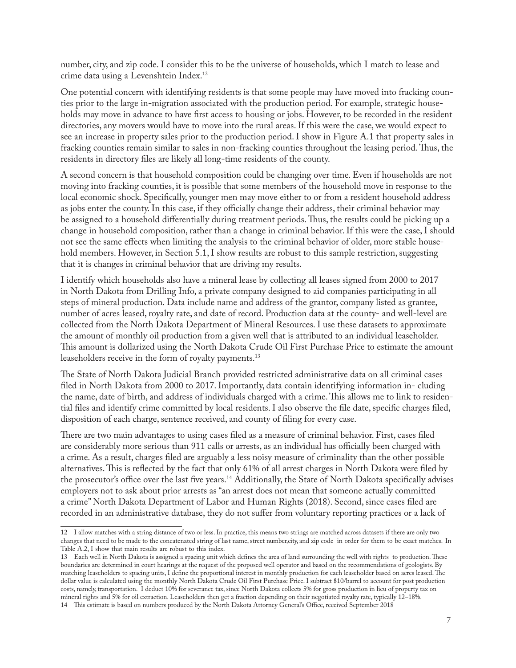number, city, and zip code. I consider this to be the universe of households, which I match to lease and crime data using a Levenshtein Index.12

One potential concern with identifying residents is that some people may have moved into fracking counties prior to the large in-migration associated with the production period. For example, strategic households may move in advance to have first access to housing or jobs. However, to be recorded in the resident directories, any movers would have to move into the rural areas. If this were the case, we would expect to see an increase in property sales prior to the production period. I show in Figure A.1 that property sales in fracking counties remain similar to sales in non-fracking counties throughout the leasing period. Thus, the residents in directory files are likely all long-time residents of the county.

A second concern is that household composition could be changing over time. Even if households are not moving into fracking counties, it is possible that some members of the household move in response to the local economic shock. Specifically, younger men may move either to or from a resident household address as jobs enter the county. In this case, if they officially change their address, their criminal behavior may be assigned to a household differentially during treatment periods. Thus, the results could be picking up a change in household composition, rather than a change in criminal behavior. If this were the case, I should not see the same effects when limiting the analysis to the criminal behavior of older, more stable household members. However, in Section 5.1, I show results are robust to this sample restriction, suggesting that it is changes in criminal behavior that are driving my results.

I identify which households also have a mineral lease by collecting all leases signed from 2000 to 2017 in North Dakota from Drilling Info, a private company designed to aid companies participating in all steps of mineral production. Data include name and address of the grantor, company listed as grantee, number of acres leased, royalty rate, and date of record. Production data at the county- and well-level are collected from the North Dakota Department of Mineral Resources. I use these datasets to approximate the amount of monthly oil production from a given well that is attributed to an individual leaseholder. This amount is dollarized using the North Dakota Crude Oil First Purchase Price to estimate the amount leaseholders receive in the form of royalty payments.<sup>13</sup>

The State of North Dakota Judicial Branch provided restricted administrative data on all criminal cases filed in North Dakota from 2000 to 2017. Importantly, data contain identifying information in- cluding the name, date of birth, and address of individuals charged with a crime. This allows me to link to residential files and identify crime committed by local residents. I also observe the file date, specific charges filed, disposition of each charge, sentence received, and county of filing for every case.

There are two main advantages to using cases filed as a measure of criminal behavior. First, cases filed are considerably more serious than 911 calls or arrests, as an individual has officially been charged with a crime. As a result, charges filed are arguably a less noisy measure of criminality than the other possible alternatives. This is reflected by the fact that only 61% of all arrest charges in North Dakota were filed by the prosecutor's office over the last five years.<sup>14</sup> Additionally, the State of North Dakota specifically advises employers not to ask about prior arrests as "an arrest does not mean that someone actually committed a crime" North Dakota Department of Labor and Human Rights (2018). Second, since cases filed are recorded in an administrative database, they do not suffer from voluntary reporting practices or a lack of

<sup>12</sup> I allow matches with a string distance of two or less. In practice, this means two strings are matched across datasets if there are only two changes that need to be made to the concatenated string of last name, street number,city, and zip code in order for them to be exact matches. In Table A.2, I show that main results are robust to this index.

<sup>13</sup> Each well in North Dakota is assigned a spacing unit which defines the area of land surrounding the well with rights to production. These boundaries are determined in court hearings at the request of the proposed well operator and based on the recommendations of geologists. By matching leaseholders to spacing units, I define the proportional interest in monthly production for each leaseholder based on acres leased. The dollar value is calculated using the monthly North Dakota Crude Oil First Purchase Price. I subtract \$10/barrel to account for post production costs, namely, transportation. I deduct 10% for severance tax, since North Dakota collects 5% for gross production in lieu of property tax on mineral rights and 5% for oil extraction. Leaseholders then get a fraction depending on their negotiated royalty rate, typically 12–18%.

<sup>14</sup> This estimate is based on numbers produced by the North Dakota Attorney General's Office, received September 2018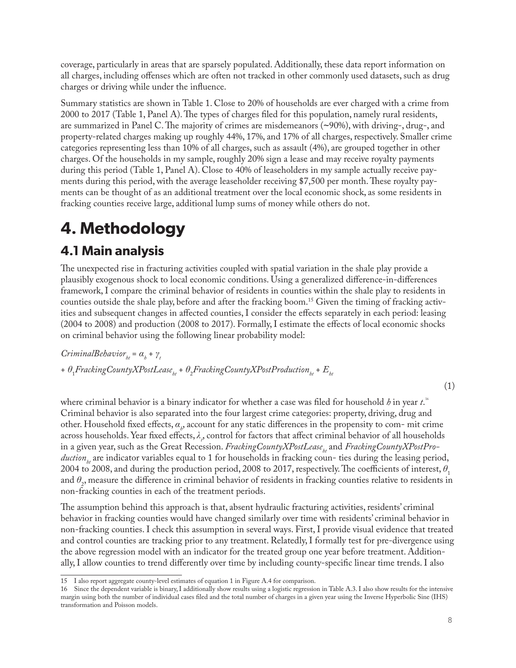coverage, particularly in areas that are sparsely populated. Additionally, these data report information on all charges, including offenses which are often not tracked in other commonly used datasets, such as drug charges or driving while under the influence.

Summary statistics are shown in Table 1. Close to 20% of households are ever charged with a crime from 2000 to 2017 (Table 1, Panel A). The types of charges filed for this population, namely rural residents, are summarized in Panel C. The majority of crimes are misdemeanors (*∼*90%), with driving-, drug-, and property-related charges making up roughly 44%, 17%, and 17% of all charges, respectively. Smaller crime categories representing less than 10% of all charges, such as assault (4%), are grouped together in other charges. Of the households in my sample, roughly 20% sign a lease and may receive royalty payments during this period (Table 1, Panel A). Close to 40% of leaseholders in my sample actually receive payments during this period, with the average leaseholder receiving \$7,500 per month. These royalty payments can be thought of as an additional treatment over the local economic shock, as some residents in fracking counties receive large, additional lump sums of money while others do not.

# **4. Methodology**

### **4.1 Main analysis**

The unexpected rise in fracturing activities coupled with spatial variation in the shale play provide a plausibly exogenous shock to local economic conditions. Using a generalized difference-in-differences framework, I compare the criminal behavior of residents in counties within the shale play to residents in counties outside the shale play, before and after the fracking boom.<sup>15</sup> Given the timing of fracking activities and subsequent changes in affected counties, I consider the effects separately in each period: leasing (2004 to 2008) and production (2008 to 2017). Formally, I estimate the effects of local economic shocks on criminal behavior using the following linear probability model:

 $CriminalBehavior_{h} = \alpha_h + \gamma_h$ + θ<sub>1</sub>FrackingCountyXPostLease<sub>ht</sub> + θ<sub>2</sub>FrackingCountyXPostProduction<sub>ht</sub> + E<sub>ht</sub>

(1)

where criminal behavior is a binary indicator for whether a case was filed for household  $\it{b}$  in year  $\it{t}^{\rm .6}$ Criminal behavior is also separated into the four largest crime categories: property, driving, drug and other. Household fixed effects, *α<sup>h</sup>* , account for any static differences in the propensity to com- mit crime across households. Year fixed effects, *λ<sup>t</sup>* , control for factors that affect criminal behavior of all households in a given year, such as the Great Recession. *FrackingCountyXPostLease<sub>ht</sub>* and *FrackingCountyXPostProduction<sub>ht</sub>* are indicator variables equal to 1 for households in fracking coun- ties during the leasing period, 2004 to 2008, and during the production period, 2008 to 2017, respectively. The coefficients of interest,  $\theta$ <sub>1</sub> and  $\theta_2$ , measure the difference in criminal behavior of residents in fracking counties relative to residents in non-fracking counties in each of the treatment periods.

The assumption behind this approach is that, absent hydraulic fracturing activities, residents' criminal behavior in fracking counties would have changed similarly over time with residents' criminal behavior in non-fracking counties. I check this assumption in several ways. First, I provide visual evidence that treated and control counties are tracking prior to any treatment. Relatedly, I formally test for pre-divergence using the above regression model with an indicator for the treated group one year before treatment. Additionally, I allow counties to trend differently over time by including county-specific linear time trends. I also

<sup>15</sup> I also report aggregate county-level estimates of equation 1 in Figure A.4 for comparison.

<sup>16</sup> Since the dependent variable is binary, I additionally show results using a logistic regression in Table A.3. I also show results for the intensive margin using both the number of individual cases filed and the total number of charges in a given year using the Inverse Hyperbolic Sine (IHS) transformation and Poisson models.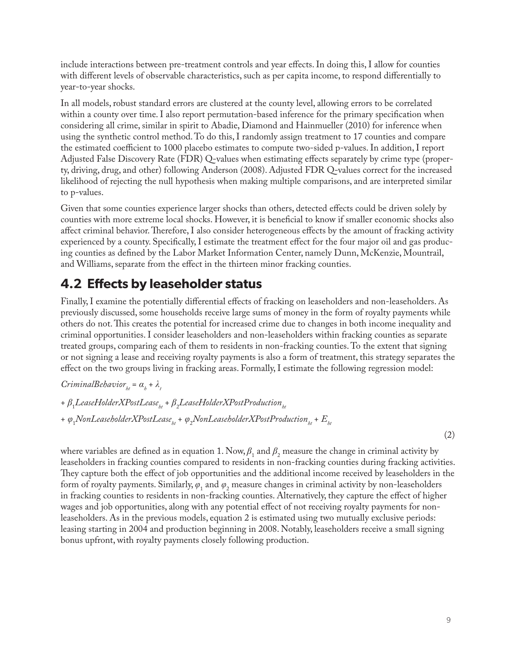include interactions between pre-treatment controls and year effects. In doing this, I allow for counties with different levels of observable characteristics, such as per capita income, to respond differentially to year-to-year shocks.

In all models, robust standard errors are clustered at the county level, allowing errors to be correlated within a county over time. I also report permutation-based inference for the primary specification when considering all crime, similar in spirit to Abadie, Diamond and Hainmueller (2010) for inference when using the synthetic control method. To do this, I randomly assign treatment to 17 counties and compare the estimated coefficient to 1000 placebo estimates to compute two-sided p-values. In addition, I report Adjusted False Discovery Rate (FDR) Q-values when estimating effects separately by crime type (property, driving, drug, and other) following Anderson (2008). Adjusted FDR Q-values correct for the increased likelihood of rejecting the null hypothesis when making multiple comparisons, and are interpreted similar to p-values.

Given that some counties experience larger shocks than others, detected effects could be driven solely by counties with more extreme local shocks. However, it is beneficial to know if smaller economic shocks also affect criminal behavior. Therefore, I also consider heterogeneous effects by the amount of fracking activity experienced by a county. Specifically, I estimate the treatment effect for the four major oil and gas producing counties as defined by the Labor Market Information Center, namely Dunn, McKenzie, Mountrail, and Williams, separate from the effect in the thirteen minor fracking counties.

#### **4.2 Effects by leaseholder status**

Finally, I examine the potentially differential effects of fracking on leaseholders and non-leaseholders. As previously discussed, some households receive large sums of money in the form of royalty payments while others do not. This creates the potential for increased crime due to changes in both income inequality and criminal opportunities. I consider leaseholders and non-leaseholders within fracking counties as separate treated groups, comparing each of them to residents in non-fracking counties. To the extent that signing or not signing a lease and receiving royalty payments is also a form of treatment, this strategy separates the effect on the two groups living in fracking areas. Formally, I estimate the following regression model:

*CriminalBehavior*<sub>*ht</sub>* =  $\alpha$ <sup>*h*</sup> +  $\lambda$ <sup>*t*</sup></sup></sub>

+ β<sub>1</sub>LeaseHolderXPostLease<sub>ht</sub> + β<sub>2</sub>LeaseHolderXPostProduction<sub>ht</sub> + φ<sub>1</sub>NonLeaseholderXPostLease<sub>ht</sub> + φ<sub>2</sub>NonLeaseholderXPostProduction<sub>ht</sub> + E<sub>ht</sub>

where variables are defined as in equation 1. Now,  $\beta_1$  and  $\beta_2$  measure the change in criminal activity by leaseholders in fracking counties compared to residents in non-fracking counties during fracking activities. They capture both the effect of job opportunities and the additional income received by leaseholders in the form of royalty payments. Similarly,  $\varphi_1$  and  $\varphi_2$  measure changes in criminal activity by non-leaseholders in fracking counties to residents in non-fracking counties. Alternatively, they capture the effect of higher wages and job opportunities, along with any potential effect of not receiving royalty payments for nonleaseholders. As in the previous models, equation 2 is estimated using two mutually exclusive periods: leasing starting in 2004 and production beginning in 2008. Notably, leaseholders receive a small signing bonus upfront, with royalty payments closely following production.

(2)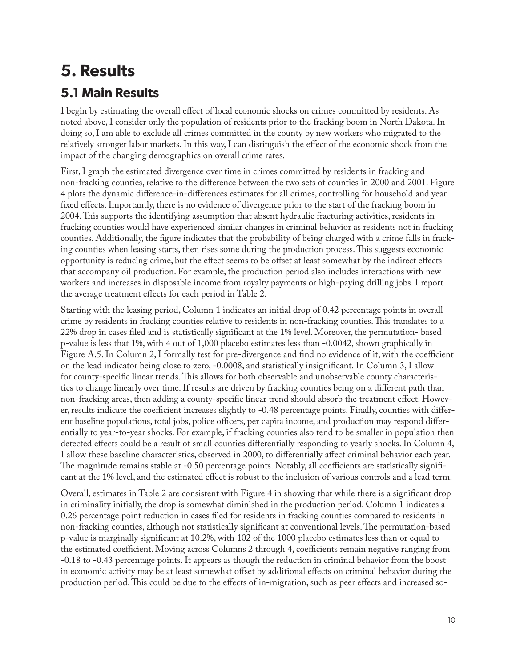# **5. Results 5.1 Main Results**

I begin by estimating the overall effect of local economic shocks on crimes committed by residents. As noted above, I consider only the population of residents prior to the fracking boom in North Dakota. In doing so, I am able to exclude all crimes committed in the county by new workers who migrated to the relatively stronger labor markets. In this way, I can distinguish the effect of the economic shock from the impact of the changing demographics on overall crime rates.

First, I graph the estimated divergence over time in crimes committed by residents in fracking and non-fracking counties, relative to the difference between the two sets of counties in 2000 and 2001. Figure 4 plots the dynamic difference-in-differences estimates for all crimes, controlling for household and year fixed effects. Importantly, there is no evidence of divergence prior to the start of the fracking boom in 2004. This supports the identifying assumption that absent hydraulic fracturing activities, residents in fracking counties would have experienced similar changes in criminal behavior as residents not in fracking counties. Additionally, the figure indicates that the probability of being charged with a crime falls in fracking counties when leasing starts, then rises some during the production process. This suggests economic opportunity is reducing crime, but the effect seems to be offset at least somewhat by the indirect effects that accompany oil production. For example, the production period also includes interactions with new workers and increases in disposable income from royalty payments or high-paying drilling jobs. I report the average treatment effects for each period in Table 2.

Starting with the leasing period, Column 1 indicates an initial drop of 0.42 percentage points in overall crime by residents in fracking counties relative to residents in non-fracking counties. This translates to a 22% drop in cases filed and is statistically significant at the 1% level. Moreover, the permutation- based p-value is less that 1%, with 4 out of 1,000 placebo estimates less than -0.0042, shown graphically in Figure A.5. In Column 2, I formally test for pre-divergence and find no evidence of it, with the coefficient on the lead indicator being close to zero, -0.0008, and statistically insignificant. In Column 3, I allow for county-specific linear trends. This allows for both observable and unobservable county characteristics to change linearly over time. If results are driven by fracking counties being on a different path than non-fracking areas, then adding a county-specific linear trend should absorb the treatment effect. However, results indicate the coefficient increases slightly to -0.48 percentage points. Finally, counties with different baseline populations, total jobs, police officers, per capita income, and production may respond differentially to year-to-year shocks. For example, if fracking counties also tend to be smaller in population then detected effects could be a result of small counties differentially responding to yearly shocks. In Column 4, I allow these baseline characteristics, observed in 2000, to differentially affect criminal behavior each year. The magnitude remains stable at -0.50 percentage points. Notably, all coefficients are statistically significant at the 1% level, and the estimated effect is robust to the inclusion of various controls and a lead term.

Overall, estimates in Table 2 are consistent with Figure 4 in showing that while there is a significant drop in criminality initially, the drop is somewhat diminished in the production period. Column 1 indicates a 0.26 percentage point reduction in cases filed for residents in fracking counties compared to residents in non-fracking counties, although not statistically significant at conventional levels. The permutation-based p-value is marginally significant at 10.2%, with 102 of the 1000 placebo estimates less than or equal to the estimated coefficient. Moving across Columns 2 through 4, coefficients remain negative ranging from -0.18 to -0.43 percentage points. It appears as though the reduction in criminal behavior from the boost in economic activity may be at least somewhat offset by additional effects on criminal behavior during the production period. This could be due to the effects of in-migration, such as peer effects and increased so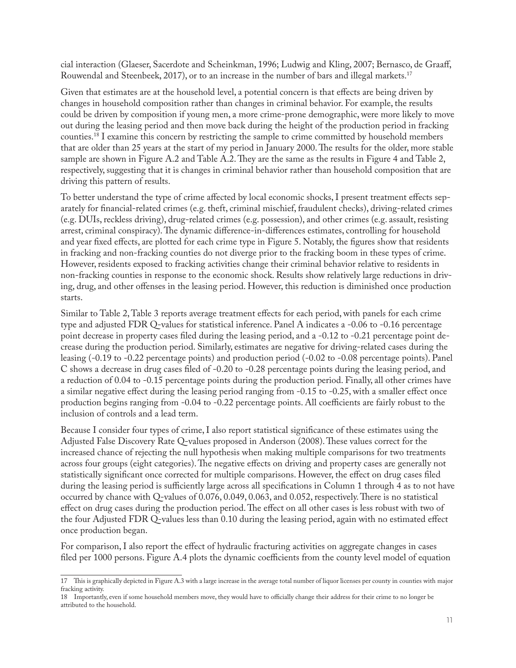cial interaction (Glaeser, Sacerdote and Scheinkman, 1996; Ludwig and Kling, 2007; Bernasco, de Graaff, Rouwendal and Steenbeek, 2017), or to an increase in the number of bars and illegal markets.17

Given that estimates are at the household level, a potential concern is that effects are being driven by changes in household composition rather than changes in criminal behavior. For example, the results could be driven by composition if young men, a more crime-prone demographic, were more likely to move out during the leasing period and then move back during the height of the production period in fracking counties.18 I examine this concern by restricting the sample to crime committed by household members that are older than 25 years at the start of my period in January 2000. The results for the older, more stable sample are shown in Figure A.2 and Table A.2. They are the same as the results in Figure 4 and Table 2, respectively, suggesting that it is changes in criminal behavior rather than household composition that are driving this pattern of results.

To better understand the type of crime affected by local economic shocks, I present treatment effects separately for financial-related crimes (e.g. theft, criminal mischief, fraudulent checks), driving-related crimes (e.g. DUIs, reckless driving), drug-related crimes (e.g. possession), and other crimes (e.g. assault, resisting arrest, criminal conspiracy). The dynamic difference-in-differences estimates, controlling for household and year fixed effects, are plotted for each crime type in Figure 5. Notably, the figures show that residents in fracking and non-fracking counties do not diverge prior to the fracking boom in these types of crime. However, residents exposed to fracking activities change their criminal behavior relative to residents in non-fracking counties in response to the economic shock. Results show relatively large reductions in driving, drug, and other offenses in the leasing period. However, this reduction is diminished once production starts.

Similar to Table 2, Table 3 reports average treatment effects for each period, with panels for each crime type and adjusted FDR Q-values for statistical inference. Panel A indicates a -0.06 to -0.16 percentage point decrease in property cases filed during the leasing period, and a -0.12 to -0.21 percentage point decrease during the production period. Similarly, estimates are negative for driving-related cases during the leasing (-0.19 to -0.22 percentage points) and production period (-0.02 to -0.08 percentage points). Panel C shows a decrease in drug cases filed of -0.20 to -0.28 percentage points during the leasing period, and a reduction of 0.04 to -0.15 percentage points during the production period. Finally, all other crimes have a similar negative effect during the leasing period ranging from -0.15 to -0.25, with a smaller effect once production begins ranging from -0.04 to -0.22 percentage points. All coefficients are fairly robust to the inclusion of controls and a lead term.

Because I consider four types of crime, I also report statistical significance of these estimates using the Adjusted False Discovery Rate Q-values proposed in Anderson (2008). These values correct for the increased chance of rejecting the null hypothesis when making multiple comparisons for two treatments across four groups (eight categories). The negative effects on driving and property cases are generally not statistically significant once corrected for multiple comparisons. However, the effect on drug cases filed during the leasing period is sufficiently large across all specifications in Column 1 through 4 as to not have occurred by chance with Q-values of 0.076, 0.049, 0.063, and 0.052, respectively. There is no statistical effect on drug cases during the production period. The effect on all other cases is less robust with two of the four Adjusted FDR Q-values less than 0.10 during the leasing period, again with no estimated effect once production began.

For comparison, I also report the effect of hydraulic fracturing activities on aggregate changes in cases filed per 1000 persons. Figure A.4 plots the dynamic coefficients from the county level model of equation

<sup>17</sup> This is graphically depicted in Figure A.3 with a large increase in the average total number of liquor licenses per county in counties with major fracking activity.

<sup>18</sup> Importantly, even if some household members move, they would have to officially change their address for their crime to no longer be attributed to the household.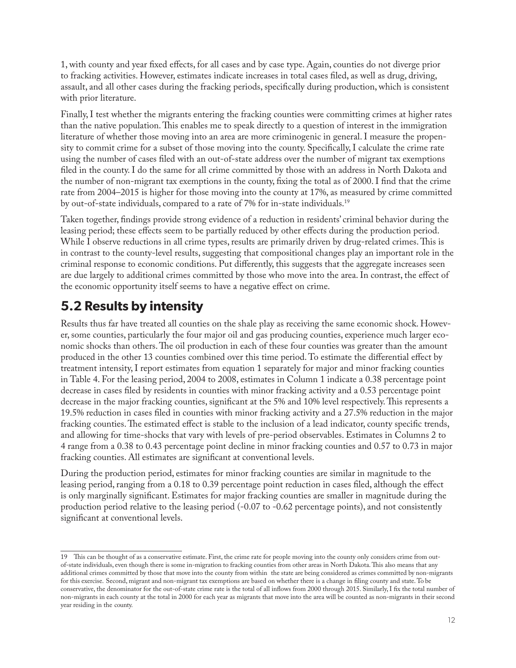1, with county and year fixed effects, for all cases and by case type. Again, counties do not diverge prior to fracking activities. However, estimates indicate increases in total cases filed, as well as drug, driving, assault, and all other cases during the fracking periods, specifically during production, which is consistent with prior literature.

Finally, I test whether the migrants entering the fracking counties were committing crimes at higher rates than the native population. This enables me to speak directly to a question of interest in the immigration literature of whether those moving into an area are more criminogenic in general. I measure the propensity to commit crime for a subset of those moving into the county. Specifically, I calculate the crime rate using the number of cases filed with an out-of-state address over the number of migrant tax exemptions filed in the county. I do the same for all crime committed by those with an address in North Dakota and the number of non-migrant tax exemptions in the county, fixing the total as of 2000. I find that the crime rate from 2004–2015 is higher for those moving into the county at 17%, as measured by crime committed by out-of-state individuals, compared to a rate of 7% for in-state individuals.19

Taken together, findings provide strong evidence of a reduction in residents' criminal behavior during the leasing period; these effects seem to be partially reduced by other effects during the production period. While I observe reductions in all crime types, results are primarily driven by drug-related crimes. This is in contrast to the county-level results, suggesting that compositional changes play an important role in the criminal response to economic conditions. Put differently, this suggests that the aggregate increases seen are due largely to additional crimes committed by those who move into the area. In contrast, the effect of the economic opportunity itself seems to have a negative effect on crime.

### **5.2 Results by intensity**

Results thus far have treated all counties on the shale play as receiving the same economic shock. However, some counties, particularly the four major oil and gas producing counties, experience much larger economic shocks than others. The oil production in each of these four counties was greater than the amount produced in the other 13 counties combined over this time period. To estimate the differential effect by treatment intensity, I report estimates from equation 1 separately for major and minor fracking counties in Table 4. For the leasing period, 2004 to 2008, estimates in Column 1 indicate a 0.38 percentage point decrease in cases filed by residents in counties with minor fracking activity and a 0.53 percentage point decrease in the major fracking counties, significant at the 5% and 10% level respectively. This represents a 19.5% reduction in cases filed in counties with minor fracking activity and a 27.5% reduction in the major fracking counties. The estimated effect is stable to the inclusion of a lead indicator, county specific trends, and allowing for time-shocks that vary with levels of pre-period observables. Estimates in Columns 2 to 4 range from a 0.38 to 0.43 percentage point decline in minor fracking counties and 0.57 to 0.73 in major fracking counties. All estimates are significant at conventional levels.

During the production period, estimates for minor fracking counties are similar in magnitude to the leasing period, ranging from a 0.18 to 0.39 percentage point reduction in cases filed, although the effect is only marginally significant. Estimates for major fracking counties are smaller in magnitude during the production period relative to the leasing period (-0.07 to -0.62 percentage points), and not consistently significant at conventional levels.

<sup>19</sup> This can be thought of as a conservative estimate. First, the crime rate for people moving into the county only considers crime from outof-state individuals, even though there is some in-migration to fracking counties from other areas in North Dakota. This also means that any additional crimes committed by those that move into the county from within the state are being considered as crimes committed by non-migrants for this exercise. Second, migrant and non-migrant tax exemptions are based on whether there is a change in filing county and state. To be conservative, the denominator for the out-of-state crime rate is the total of all inflows from 2000 through 2015. Similarly, I fix the total number of non-migrants in each county at the total in 2000 for each year as migrants that move into the area will be counted as non-migrants in their second year residing in the county.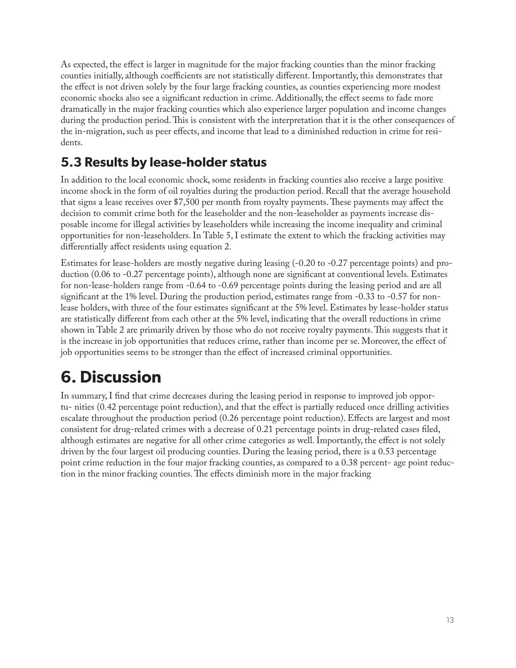As expected, the effect is larger in magnitude for the major fracking counties than the minor fracking counties initially, although coefficients are not statistically different. Importantly, this demonstrates that the effect is not driven solely by the four large fracking counties, as counties experiencing more modest economic shocks also see a significant reduction in crime. Additionally, the effect seems to fade more dramatically in the major fracking counties which also experience larger population and income changes during the production period. This is consistent with the interpretation that it is the other consequences of the in-migration, such as peer effects, and income that lead to a diminished reduction in crime for residents.

### **5.3 Results by lease-holder status**

In addition to the local economic shock, some residents in fracking counties also receive a large positive income shock in the form of oil royalties during the production period. Recall that the average household that signs a lease receives over \$7,500 per month from royalty payments. These payments may affect the decision to commit crime both for the leaseholder and the non-leaseholder as payments increase disposable income for illegal activities by leaseholders while increasing the income inequality and criminal opportunities for non-leaseholders. In Table 5, I estimate the extent to which the fracking activities may differentially affect residents using equation 2.

Estimates for lease-holders are mostly negative during leasing (-0.20 to -0.27 percentage points) and production (0.06 to -0.27 percentage points), although none are significant at conventional levels. Estimates for non-lease-holders range from -0.64 to -0.69 percentage points during the leasing period and are all significant at the 1% level. During the production period, estimates range from -0.33 to -0.57 for nonlease holders, with three of the four estimates significant at the 5% level. Estimates by lease-holder status are statistically different from each other at the 5% level, indicating that the overall reductions in crime shown in Table 2 are primarily driven by those who do not receive royalty payments. This suggests that it is the increase in job opportunities that reduces crime, rather than income per se. Moreover, the effect of job opportunities seems to be stronger than the effect of increased criminal opportunities.

# **6. Discussion**

In summary, I find that crime decreases during the leasing period in response to improved job opportu- nities (0.42 percentage point reduction), and that the effect is partially reduced once drilling activities escalate throughout the production period (0.26 percentage point reduction). Effects are largest and most consistent for drug-related crimes with a decrease of 0.21 percentage points in drug-related cases filed, although estimates are negative for all other crime categories as well. Importantly, the effect is not solely driven by the four largest oil producing counties. During the leasing period, there is a 0.53 percentage point crime reduction in the four major fracking counties, as compared to a 0.38 percent- age point reduction in the minor fracking counties. The effects diminish more in the major fracking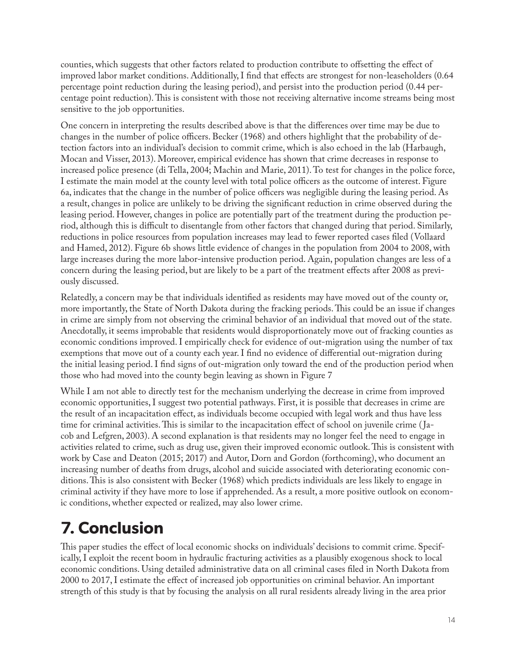counties, which suggests that other factors related to production contribute to offsetting the effect of improved labor market conditions. Additionally, I find that effects are strongest for non-leaseholders (0.64 percentage point reduction during the leasing period), and persist into the production period (0.44 percentage point reduction). This is consistent with those not receiving alternative income streams being most sensitive to the job opportunities.

One concern in interpreting the results described above is that the differences over time may be due to changes in the number of police officers. Becker (1968) and others highlight that the probability of detection factors into an individual's decision to commit crime, which is also echoed in the lab (Harbaugh, Mocan and Visser, 2013). Moreover, empirical evidence has shown that crime decreases in response to increased police presence (di Tella, 2004; Machin and Marie, 2011). To test for changes in the police force, I estimate the main model at the county level with total police officers as the outcome of interest. Figure 6a, indicates that the change in the number of police officers was negligible during the leasing period. As a result, changes in police are unlikely to be driving the significant reduction in crime observed during the leasing period. However, changes in police are potentially part of the treatment during the production period, although this is difficult to disentangle from other factors that changed during that period. Similarly, reductions in police resources from population increases may lead to fewer reported cases filed (Vollaard and Hamed, 2012). Figure 6b shows little evidence of changes in the population from 2004 to 2008, with large increases during the more labor-intensive production period. Again, population changes are less of a concern during the leasing period, but are likely to be a part of the treatment effects after 2008 as previously discussed.

Relatedly, a concern may be that individuals identified as residents may have moved out of the county or, more importantly, the State of North Dakota during the fracking periods. This could be an issue if changes in crime are simply from not observing the criminal behavior of an individual that moved out of the state. Anecdotally, it seems improbable that residents would disproportionately move out of fracking counties as economic conditions improved. I empirically check for evidence of out-migration using the number of tax exemptions that move out of a county each year. I find no evidence of differential out-migration during the initial leasing period. I find signs of out-migration only toward the end of the production period when those who had moved into the county begin leaving as shown in Figure 7

While I am not able to directly test for the mechanism underlying the decrease in crime from improved economic opportunities, I suggest two potential pathways. First, it is possible that decreases in crime are the result of an incapacitation effect, as individuals become occupied with legal work and thus have less time for criminal activities. This is similar to the incapacitation effect of school on juvenile crime ( Jacob and Lefgren, 2003). A second explanation is that residents may no longer feel the need to engage in activities related to crime, such as drug use, given their improved economic outlook. This is consistent with work by Case and Deaton (2015; 2017) and Autor, Dorn and Gordon (forthcoming), who document an increasing number of deaths from drugs, alcohol and suicide associated with deteriorating economic conditions. This is also consistent with Becker (1968) which predicts individuals are less likely to engage in criminal activity if they have more to lose if apprehended. As a result, a more positive outlook on economic conditions, whether expected or realized, may also lower crime.

# **7. Conclusion**

This paper studies the effect of local economic shocks on individuals' decisions to commit crime. Specifically, I exploit the recent boom in hydraulic fracturing activities as a plausibly exogenous shock to local economic conditions. Using detailed administrative data on all criminal cases filed in North Dakota from 2000 to 2017, I estimate the effect of increased job opportunities on criminal behavior. An important strength of this study is that by focusing the analysis on all rural residents already living in the area prior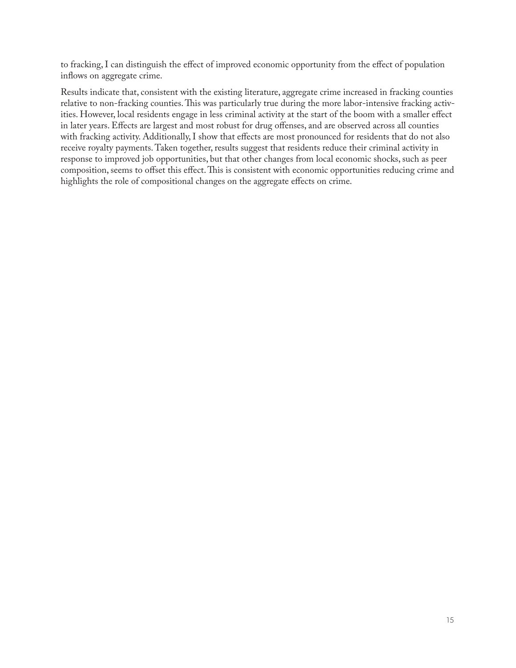to fracking, I can distinguish the effect of improved economic opportunity from the effect of population inflows on aggregate crime.

Results indicate that, consistent with the existing literature, aggregate crime increased in fracking counties relative to non-fracking counties. This was particularly true during the more labor-intensive fracking activities. However, local residents engage in less criminal activity at the start of the boom with a smaller effect in later years. Effects are largest and most robust for drug offenses, and are observed across all counties with fracking activity. Additionally, I show that effects are most pronounced for residents that do not also receive royalty payments. Taken together, results suggest that residents reduce their criminal activity in response to improved job opportunities, but that other changes from local economic shocks, such as peer composition, seems to offset this effect. This is consistent with economic opportunities reducing crime and highlights the role of compositional changes on the aggregate effects on crime.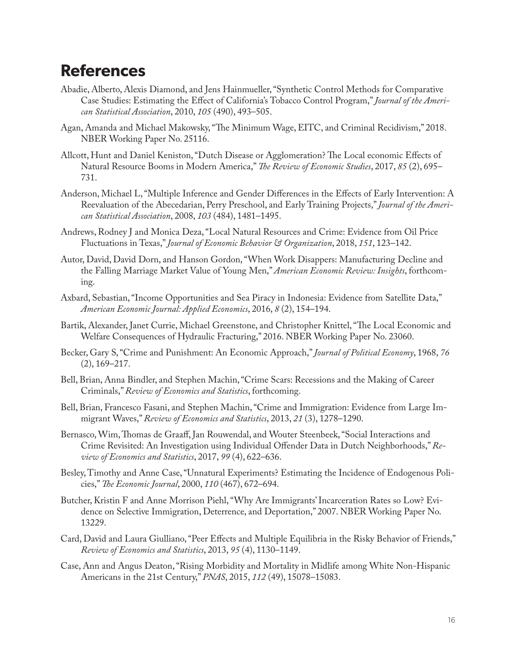### **References**

- Abadie, Alberto, Alexis Diamond, and Jens Hainmueller, "Synthetic Control Methods for Comparative Case Studies: Estimating the Effect of California's Tobacco Control Program," *Journal of the American Statistical Association*, 2010, *105* (490), 493–505.
- Agan, Amanda and Michael Makowsky, "The Minimum Wage, EITC, and Criminal Recidivism," 2018. NBER Working Paper No. 25116.
- Allcott, Hunt and Daniel Keniston, "Dutch Disease or Agglomeration? The Local economic Effects of Natural Resource Booms in Modern America," *The Review of Economic Studies*, 2017, *85* (2), 695– 731.
- Anderson, Michael L, "Multiple Inference and Gender Differences in the Effects of Early Intervention: A Reevaluation of the Abecedarian, Perry Preschool, and Early Training Projects," *Journal of the American Statistical Association*, 2008, *103* (484), 1481–1495.
- Andrews, Rodney J and Monica Deza, "Local Natural Resources and Crime: Evidence from Oil Price Fluctuations in Texas," *Journal of Economic Behavior & Organization*, 2018, *151*, 123–142.
- Autor, David, David Dorn, and Hanson Gordon, "When Work Disappers: Manufacturing Decline and the Falling Marriage Market Value of Young Men," *American Economic Review: Insights*, forthcoming.
- Axbard, Sebastian, "Income Opportunities and Sea Piracy in Indonesia: Evidence from Satellite Data," *American Economic Journal: Applied Economics*, 2016, *8* (2), 154–194.
- Bartik, Alexander, Janet Currie, Michael Greenstone, and Christopher Knittel, "The Local Economic and Welfare Consequences of Hydraulic Fracturing," 2016. NBER Working Paper No. 23060.
- Becker, Gary S, "Crime and Punishment: An Economic Approach," *Journal of Political Economy*, 1968, *76*   $(2), 169 - 217.$
- Bell, Brian, Anna Bindler, and Stephen Machin, "Crime Scars: Recessions and the Making of Career Criminals," *Review of Economics and Statistics*, forthcoming.
- Bell, Brian, Francesco Fasani, and Stephen Machin, "Crime and Immigration: Evidence from Large Immigrant Waves," *Review of Economics and Statistics*, 2013, *21* (3), 1278–1290.
- Bernasco, Wim, Thomas de Graaff, Jan Rouwendal, and Wouter Steenbeek, "Social Interactions and Crime Revisited: An Investigation using Individual Offender Data in Dutch Neighborhoods," *Review of Economics and Statistics*, 2017, *99* (4), 622–636.
- Besley, Timothy and Anne Case, "Unnatural Experiments? Estimating the Incidence of Endogenous Policies," *The Economic Journal*, 2000, *110* (467), 672–694.
- Butcher, Kristin F and Anne Morrison Piehl, "Why Are Immigrants' Incarceration Rates so Low? Evidence on Selective Immigration, Deterrence, and Deportation," 2007. NBER Working Paper No. 13229.
- Card, David and Laura Giulliano, "Peer Effects and Multiple Equilibria in the Risky Behavior of Friends," *Review of Economics and Statistics*, 2013, *95* (4), 1130–1149.
- Case, Ann and Angus Deaton, "Rising Morbidity and Mortality in Midlife among White Non-Hispanic Americans in the 21st Century," *PNAS*, 2015, *112* (49), 15078–15083.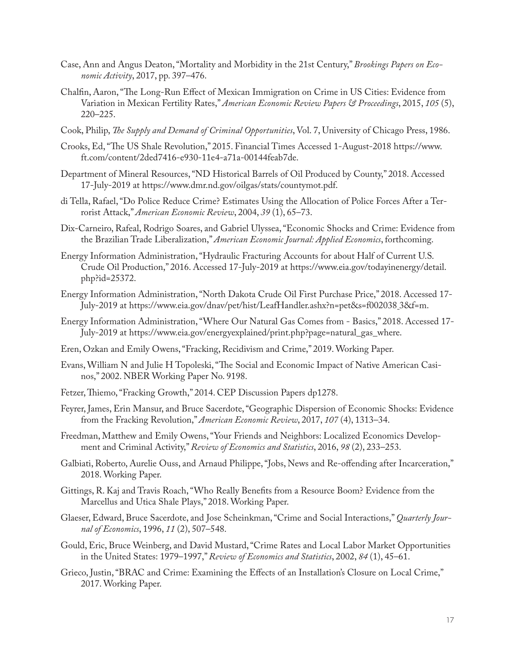- Case, Ann and Angus Deaton, "Mortality and Morbidity in the 21st Century," *Brookings Papers on Economic Activity*, 2017, pp. 397–476.
- Chalfin, Aaron, "The Long-Run Effect of Mexican Immigration on Crime in US Cities: Evidence from Variation in Mexican Fertility Rates," *American Economic Review Papers & Proceedings*, 2015, *105* (5), 220–225.
- Cook, Philip, *The Supply and Demand of Criminal Opportunities*, Vol. 7, University of Chicago Press, 1986.
- Crooks, Ed, "The US Shale Revolution," 2015. Financial Times Accessed 1-August-2018 https://www. ft.com/content/2ded7416-e930-11e4-a71a-00144feab7de.
- Department of Mineral Resources, "ND Historical Barrels of Oil Produced by County," 2018. Accessed 17-July-2019 at https://www.dmr.nd.gov/oilgas/stats/countymot.pdf.
- di Tella, Rafael, "Do Police Reduce Crime? Estimates Using the Allocation of Police Forces After a Terrorist Attack," *American Economic Review*, 2004, *39* (1), 65–73.
- Dix-Carneiro, Rafeal, Rodrigo Soares, and Gabriel Ulyssea, "Economic Shocks and Crime: Evidence from the Brazilian Trade Liberalization," *American Economic Journal: Applied Economics*, forthcoming.
- Energy Information Administration, "Hydraulic Fracturing Accounts for about Half of Current U.S. Crude Oil Production," 2016. Accessed 17-July-2019 at https://www.eia.gov/todayinenergy/detail. php?id=25372.
- Energy Information Administration, "North Dakota Crude Oil First Purchase Price," 2018. Accessed 17- July-2019 at https://www.eia.gov/dnav/pet/hist/LeafHandler.ashx?n=pet&s=f002038 3&f=m.
- Energy Information Administration, "Where Our Natural Gas Comes from Basics," 2018. Accessed 17- July-2019 at https://www.eia.gov/energyexplained/print.php?page=natural\_gas\_where.
- Eren, Ozkan and Emily Owens, "Fracking, Recidivism and Crime," 2019. Working Paper.
- Evans, William N and Julie H Topoleski, "The Social and Economic Impact of Native American Casinos," 2002. NBER Working Paper No. 9198.
- Fetzer, Thiemo, "Fracking Growth," 2014. CEP Discussion Papers dp1278.
- Feyrer, James, Erin Mansur, and Bruce Sacerdote, "Geographic Dispersion of Economic Shocks: Evidence from the Fracking Revolution," *American Economic Review*, 2017, *107* (4), 1313–34.
- Freedman, Matthew and Emily Owens, "Your Friends and Neighbors: Localized Economics Development and Criminal Activity," *Review of Economics and Statistics*, 2016, *98* (2), 233–253.
- Galbiati, Roberto, Aurelie Ouss, and Arnaud Philippe, "Jobs, News and Re-offending after Incarceration," 2018. Working Paper.
- Gittings, R. Kaj and Travis Roach, "Who Really Benefits from a Resource Boom? Evidence from the Marcellus and Utica Shale Plays," 2018. Working Paper.
- Glaeser, Edward, Bruce Sacerdote, and Jose Scheinkman, "Crime and Social Interactions," *Quarterly Journal of Economics*, 1996, *11* (2), 507–548.
- Gould, Eric, Bruce Weinberg, and David Mustard, "Crime Rates and Local Labor Market Opportunities in the United States: 1979–1997," *Review of Economics and Statistics*, 2002, *84* (1), 45–61.
- Grieco, Justin, "BRAC and Crime: Examining the Effects of an Installation's Closure on Local Crime," 2017. Working Paper.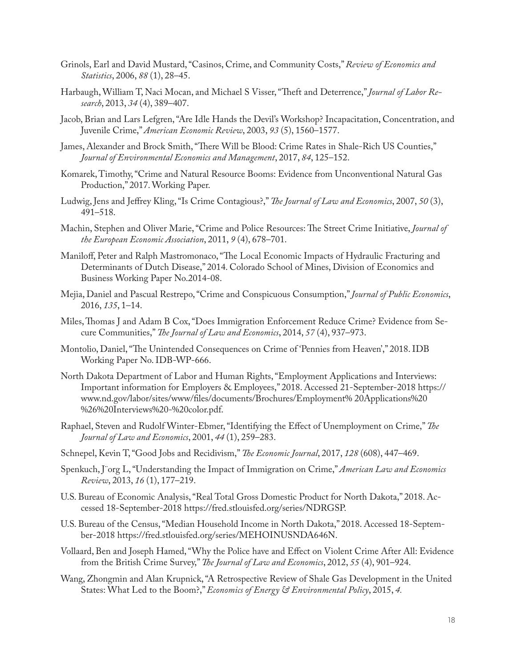- Grinols, Earl and David Mustard, "Casinos, Crime, and Community Costs," *Review of Economics and Statistics*, 2006, *88* (1), 28–45.
- Harbaugh, William T, Naci Mocan, and Michael S Visser, "Theft and Deterrence," *Journal of Labor Research*, 2013, *34* (4), 389–407.
- Jacob, Brian and Lars Lefgren, "Are Idle Hands the Devil's Workshop? Incapacitation, Concentration, and Juvenile Crime," *American Economic Review*, 2003, *93* (5), 1560–1577.
- James, Alexander and Brock Smith, "There Will be Blood: Crime Rates in Shale-Rich US Counties," *Journal of Environmental Economics and Management*, 2017, *84*, 125–152.
- Komarek, Timothy, "Crime and Natural Resource Booms: Evidence from Unconventional Natural Gas Production," 2017. Working Paper.
- Ludwig, Jens and Jeffrey Kling, "Is Crime Contagious?," *The Journal of Law and Economics*, 2007, *50* (3), 491–518.
- Machin, Stephen and Oliver Marie, "Crime and Police Resources: The Street Crime Initiative, *Journal of the European Economic Association*, 2011, *9* (4), 678–701.
- Maniloff, Peter and Ralph Mastromonaco, "The Local Economic Impacts of Hydraulic Fracturing and Determinants of Dutch Disease," 2014. Colorado School of Mines, Division of Economics and Business Working Paper No.2014-08.
- Mejia, Daniel and Pascual Restrepo, "Crime and Conspicuous Consumption," *Journal of Public Economics*, 2016, *135*, 1–14.
- Miles, Thomas J and Adam B Cox, "Does Immigration Enforcement Reduce Crime? Evidence from Secure Communities," *The Journal of Law and Economics*, 2014, *57* (4), 937–973.
- Montolio, Daniel, "The Unintended Consequences on Crime of 'Pennies from Heaven'," 2018. IDB Working Paper No. IDB-WP-666.
- North Dakota Department of Labor and Human Rights, "Employment Applications and Interviews: Important information for Employers & Employees," 2018. Accessed 21-September-2018 https:// www.nd.gov/labor/sites/www/files/documents/Brochures/Employment% 20Applications%20 %26%20Interviews%20-%20color.pdf.
- Raphael, Steven and Rudolf Winter-Ebmer, "Identifying the Effect of Unemployment on Crime," *The Journal of Law and Economics*, 2001, *44* (1), 259–283.
- Schnepel, Kevin T, "Good Jobs and Recidivism," *The Economic Journal*, 2017, *128* (608), 447–469.
- Spenkuch, J¨org L, "Understanding the Impact of Immigration on Crime," *American Law and Economics Review*, 2013, *16* (1), 177–219.
- U.S. Bureau of Economic Analysis, "Real Total Gross Domestic Product for North Dakota," 2018. Accessed 18-September-2018 https://fred.stlouisfed.org/series/NDRGSP.
- U.S. Bureau of the Census, "Median Household Income in North Dakota," 2018. Accessed 18-September-2018 https://fred.stlouisfed.org/series/MEHOINUSNDA646N.
- Vollaard, Ben and Joseph Hamed, "Why the Police have and Effect on Violent Crime After All: Evidence from the British Crime Survey," *The Journal of Law and Economics*, 2012, *55* (4), 901–924.
- Wang, Zhongmin and Alan Krupnick, "A Retrospective Review of Shale Gas Development in the United States: What Led to the Boom?," *Economics of Energy & Environmental Policy*, 2015, *4.*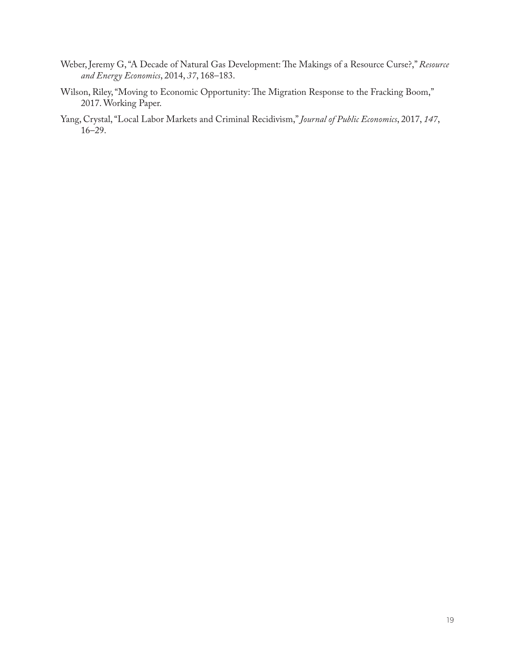- Weber, Jeremy G, "A Decade of Natural Gas Development: The Makings of a Resource Curse?," *Resource and Energy Economics*, 2014, *37*, 168–183.
- Wilson, Riley, "Moving to Economic Opportunity: The Migration Response to the Fracking Boom," 2017. Working Paper.
- Yang, Crystal, "Local Labor Markets and Criminal Recidivism," *Journal of Public Economics*, 2017, *147*, 16–29.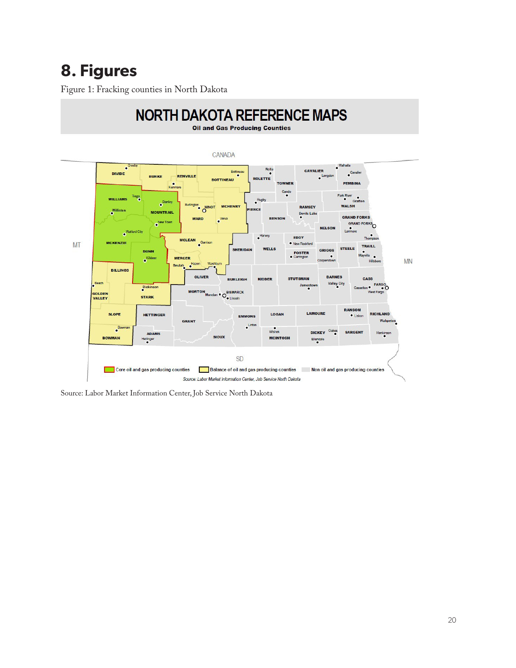# **8. Figures**

Figure 1: Fracking counties in North Dakota



Source: Labor Market Information Center, Job Service North Dakota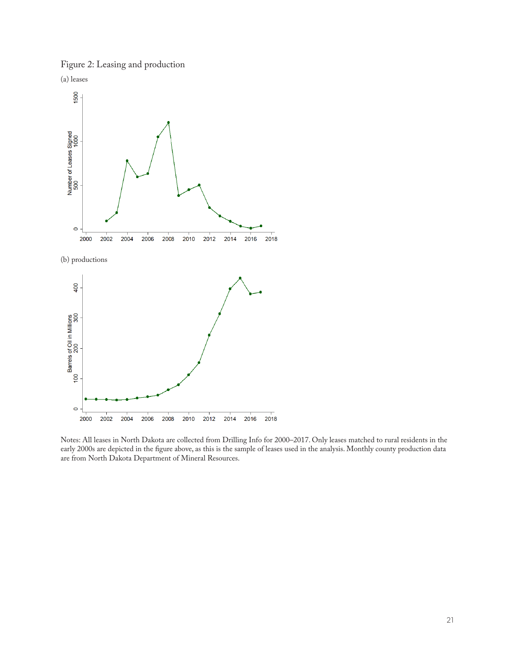Figure 2: Leasing and production





(b) productions



Notes: All leases in North Dakota are collected from Drilling Info for 2000–2017. Only leases matched to rural residents in the early 2000s are depicted in the figure above, as this is the sample of leases used in the analysis. Monthly county production data are from North Dakota Department of Mineral Resources.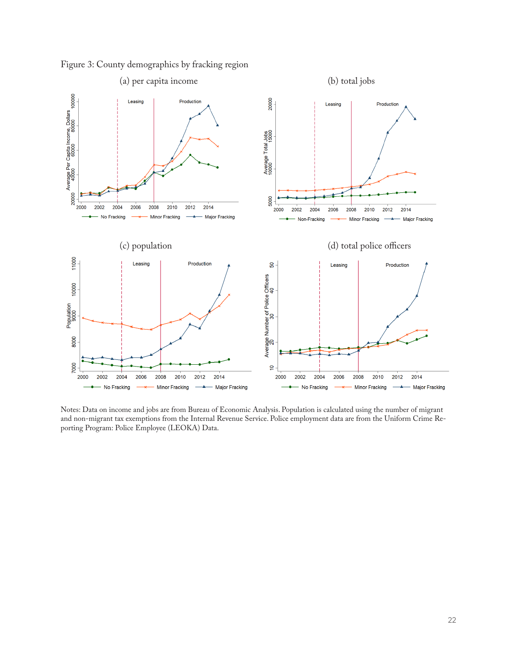

Figure 3: County demographics by fracking region

Notes: Data on income and jobs are from Bureau of Economic Analysis. Population is calculated using the number of migrant and non-migrant tax exemptions from the Internal Revenue Service. Police employment data are from the Uniform Crime Reporting Program: Police Employee (LEOKA) Data.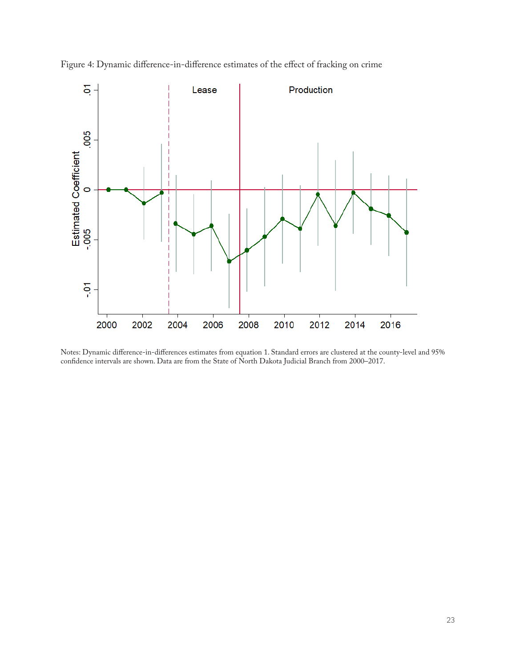

Figure 4: Dynamic difference-in-difference estimates of the effect of fracking on crime

Notes: Dynamic difference-in-differences estimates from equation 1. Standard errors are clustered at the county-level and 95% confidence intervals are shown. Data are from the State of North Dakota Judicial Branch from 2000–2017.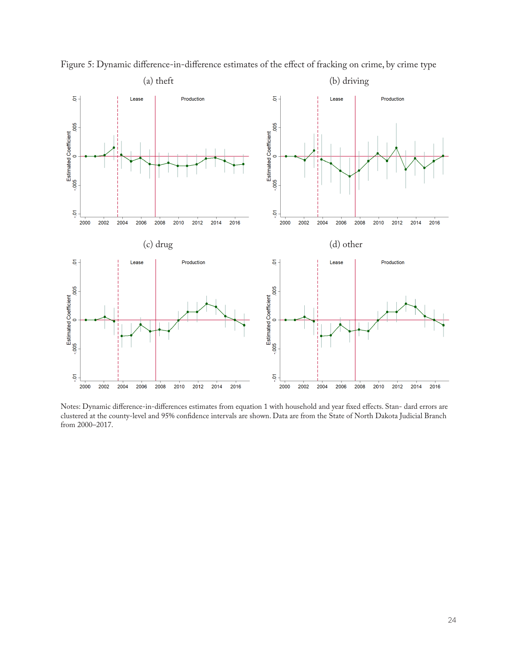

Figure 5: Dynamic difference-in-difference estimates of the effect of fracking on crime, by crime type

Notes: Dynamic difference-in-differences estimates from equation 1 with household and year fixed effects. Stan- dard errors are clustered at the county-level and 95% confidence intervals are shown. Data are from the State of North Dakota Judicial Branch from 2000–2017.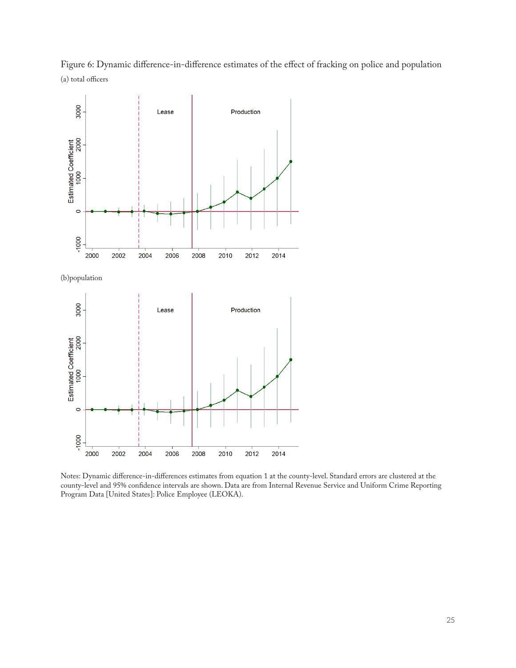Figure 6: Dynamic difference-in-difference estimates of the effect of fracking on police and population (a) total officers



Notes: Dynamic difference-in-differences estimates from equation 1 at the county-level. Standard errors are clustered at the county-level and 95% confidence intervals are shown. Data are from Internal Revenue Service and Uniform Crime Reporting Program Data [United States]: Police Employee (LEOKA).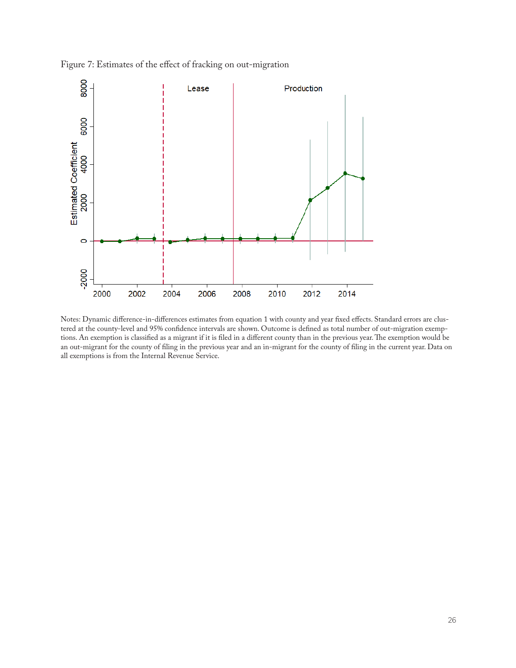



Notes: Dynamic difference-in-differences estimates from equation 1 with county and year fixed effects. Standard errors are clustered at the county-level and 95% confidence intervals are shown. Outcome is defined as total number of out-migration exemptions. An exemption is classified as a migrant if it is filed in a different county than in the previous year. The exemption would be an out-migrant for the county of filing in the previous year and an in-migrant for the county of filing in the current year. Data on all exemptions is from the Internal Revenue Service.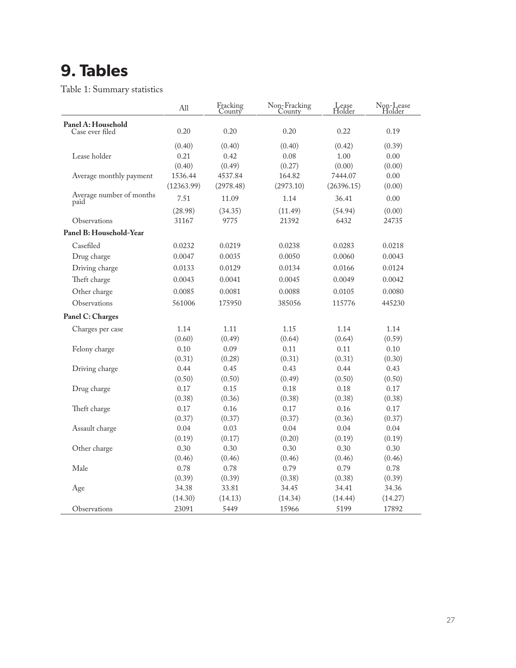## **9. Tables**

Table 1: Summary statistics

|                                  | A11            | Fracking<br>County | Non-Fracking<br>County | Lease<br>Holder | Non-Lease<br>Holder |
|----------------------------------|----------------|--------------------|------------------------|-----------------|---------------------|
| Panel A: Household               |                |                    |                        |                 |                     |
| Case ever filed                  | 0.20           | 0.20               | 0.20                   | 0.22            | 0.19                |
|                                  | (0.40)         | (0.40)             | (0.40)                 | (0.42)          | (0.39)              |
| Lease holder                     | 0.21           | 0.42               | 0.08                   | $1.00\,$        | 0.00                |
|                                  | (0.40)         | (0.49)             | (0.27)                 | (0.00)          | (0.00)              |
| Average monthly payment          | 1536.44        | 4537.84            | 164.82                 | 7444.07         | 0.00                |
|                                  | (12363.99)     | (2978.48)          | (2973.10)              | (26396.15)      | (0.00)              |
| Average number of months<br>paid | 7.51           | 11.09              | 1.14                   | 36.41           | 0.00                |
|                                  | (28.98)        | (34.35)            | (11.49)                | (54.94)         | (0.00)              |
| Observations                     | 31167          | 9775               | 21392                  | 6432            | 24735               |
| Panel B: Household-Year          |                |                    |                        |                 |                     |
| Casefiled                        | 0.0232         | 0.0219             | 0.0238                 | 0.0283          | 0.0218              |
| Drug charge                      | 0.0047         | 0.0035             | 0.0050                 | 0.0060          | 0.0043              |
| Driving charge                   | 0.0133         | 0.0129             | 0.0134                 | 0.0166          | 0.0124              |
| Theft charge                     | 0.0043         | 0.0041             | 0.0045                 | 0.0049          | 0.0042              |
| Other charge                     | 0.0085         | 0.0081             | 0.0088                 | 0.0105          | 0.0080              |
| Observations                     | 561006         | 175950             | 385056                 | 115776          | 445230              |
| Panel C: Charges                 |                |                    |                        |                 |                     |
| Charges per case                 | 1.14           | 1.11               | 1.15                   | 1.14            | 1.14                |
|                                  | (0.60)         | (0.49)             | (0.64)                 | (0.64)          | (0.59)              |
| Felony charge                    | 0.10           | 0.09               | 0.11                   | 0.11            | 0.10                |
|                                  | (0.31)         | (0.28)             | (0.31)                 | (0.31)          | (0.30)              |
| Driving charge                   | 0.44           | 0.45               | 0.43                   | 0.44            | 0.43                |
|                                  | (0.50)         | (0.50)             | (0.49)                 | (0.50)          | (0.50)              |
| Drug charge                      | 0.17           | 0.15               | 0.18                   | 0.18            | 0.17                |
|                                  | (0.38)         | (0.36)             | (0.38)                 | (0.38)          | (0.38)              |
| Theft charge                     | 0.17           | 0.16               | 0.17                   | 0.16            | 0.17                |
|                                  | (0.37)         | (0.37)             | (0.37)                 | (0.36)          | (0.37)              |
| Assault charge                   | 0.04           | 0.03               | 0.04                   | 0.04            | 0.04                |
|                                  | (0.19)         | (0.17)             | (0.20)                 | (0.19)          | (0.19)              |
| Other charge                     | 0.30           | 0.30               | 0.30                   | 0.30            | 0.30                |
| Male                             | (0.46)<br>0.78 | (0.46)<br>0.78     | (0.46)<br>0.79         | (0.46)          | (0.46)              |
|                                  | (0.39)         | (0.39)             | (0.38)                 | 0.79<br>(0.38)  | 0.78<br>(0.39)      |
| Age                              | 34.38          | 33.81              | 34.45                  | 34.41           | 34.36               |
|                                  | (14.30)        | (14.13)            | (14.34)                | (14.44)         | (14.27)             |
| Observations                     | 23091          | 5449               | 15966                  | 5199            | 17892               |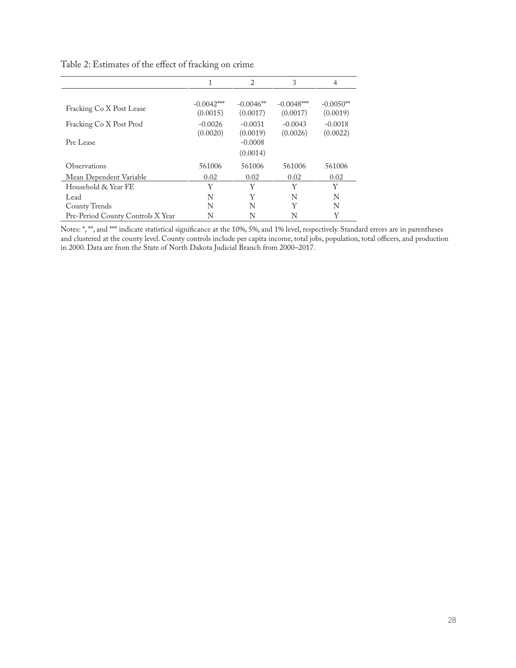|                                   | 1                                 | $\overline{c}$                    | 3                                 | 4                                 |
|-----------------------------------|-----------------------------------|-----------------------------------|-----------------------------------|-----------------------------------|
| Fracking Co X Post Lease          | $-0.0042***$                      | $-0.0046**$                       | $-0.0048***$                      | $-0.0050**$                       |
| Fracking Co X Post Prod           | (0.0015)<br>$-0.0026$<br>(0.0020) | (0.0017)<br>$-0.0031$<br>(0.0019) | (0.0017)<br>$-0.0043$<br>(0.0026) | (0.0019)<br>$-0.0018$<br>(0.0022) |
| Pre Lease                         |                                   | $-0.0008$<br>(0.0014)             |                                   |                                   |
| Observations                      | 561006                            | 561006                            | 561006                            | 561006                            |
| Mean Dependent Variable           | 0.02                              | 0.02                              | 0.02                              | 0.02                              |
| Household & Year FE               | Y                                 | Y                                 | Y                                 | Y                                 |
| Lead                              | N                                 | Y                                 | N                                 | N                                 |
| County Trends                     | N                                 | N                                 | Y                                 | N                                 |
| Pre-Period County Controls X Year | N                                 | N                                 | N                                 | Y                                 |

Table 2: Estimates of the effect of fracking on crime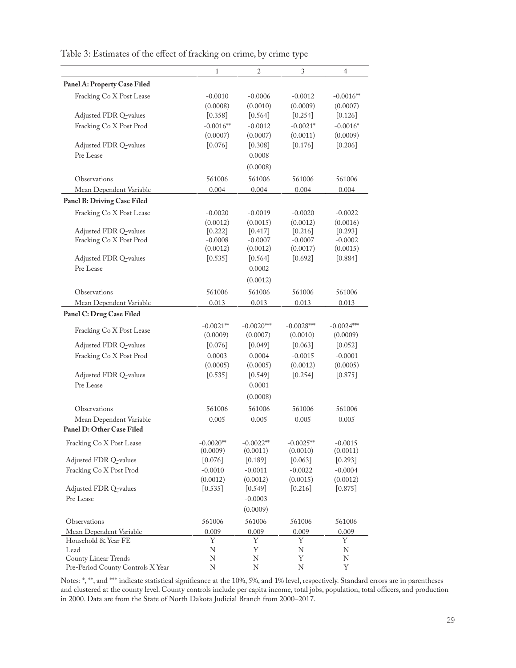|                                   | 1           | $\sqrt{2}$   | 3            | $\overline{4}$ |
|-----------------------------------|-------------|--------------|--------------|----------------|
| Panel A: Property Case Filed      |             |              |              |                |
| Fracking Co X Post Lease          | $-0.0010$   | $-0.0006$    | $-0.0012$    | $-0.0016**$    |
|                                   | (0.0008)    | (0.0010)     | (0.0009)     | (0.0007)       |
| Adjusted FDR Q-values             | [0.358]     | [0.564]      | [0.254]      | $[0.126]$      |
| Fracking Co X Post Prod           | $-0.0016**$ | $-0.0012$    | $-0.0021*$   | $-0.0016*$     |
|                                   | (0.0007)    | (0.0007)     | (0.0011)     | (0.0009)       |
| Adjusted FDR Q-values             | [0.076]     | $[0.308]$    | [0.176]      | [0.206]        |
| Pre Lease                         |             | 0.0008       |              |                |
|                                   |             | (0.0008)     |              |                |
| Observations                      | 561006      | 561006       | 561006       | 561006         |
| Mean Dependent Variable           | 0.004       | 0.004        | 0.004        | 0.004          |
| Panel B: Driving Case Filed       |             |              |              |                |
| Fracking Co X Post Lease          | $-0.0020$   | $-0.0019$    | $-0.0020$    | $-0.0022$      |
|                                   | (0.0012)    | (0.0015)     | (0.0012)     | (0.0016)       |
| Adjusted FDR Q-values             | $[0.222]$   | [0.417]      | [0.216]      | [0.293]        |
| Fracking Co X Post Prod           | $-0.0008$   | $-0.0007$    | $-0.0007$    | $-0.0002$      |
|                                   | (0.0012)    | (0.0012)     | (0.0017)     | (0.0015)       |
| Adjusted FDR Q-values             | $[0.535]$   | [0.564]      | [0.692]      | [0.884]        |
| Pre Lease                         |             | 0.0002       |              |                |
|                                   |             | (0.0012)     |              |                |
| Observations                      | 561006      | 561006       | 561006       | 561006         |
| Mean Dependent Variable           | 0.013       | 0.013        | 0.013        | 0.013          |
| Panel C: Drug Case Filed          |             |              |              |                |
|                                   | $-0.0021**$ | $-0.0020***$ | $-0.0028***$ | $-0.0024***$   |
| Fracking Co X Post Lease          | (0.0009)    | (0.0007)     | (0.0010)     | (0.0009)       |
| Adjusted FDR Q-values             | $[0.076]$   | [0.049]      | [0.063]      | [0.052]        |
| Fracking Co X Post Prod           | 0.0003      | 0.0004       | $-0.0015$    | $-0.0001$      |
|                                   | (0.0005)    | (0.0005)     | (0.0012)     | (0.0005)       |
| Adjusted FDR Q-values             | $[0.535]$   | $[0.549]$    | $[0.254]$    | [0.875]        |
| Pre Lease                         |             | 0.0001       |              |                |
|                                   |             | (0.0008)     |              |                |
| Observations                      | 561006      | 561006       | 561006       | 561006         |
| Mean Dependent Variable           | 0.005       | 0.005        | 0.005        | 0.005          |
| Panel D: Other Case Filed         |             |              |              |                |
| Fracking Co X Post Lease          | $-0.0020**$ | $-0.0022**$  | $-0.0025**$  | $-0.0015$      |
|                                   | (0.0009)    | (0.0011)     | (0.0010)     | (0.0011)       |
| Adjusted FDR Q-values             | [0.076]     | [0.189]      | [0.063]      | [0.293]        |
| Fracking Co X Post Prod           | $-0.0010$   | $-0.0011$    | $-0.0022$    | $-0.0004$      |
|                                   | (0.0012)    | (0.0012)     | (0.0015)     | (0.0012)       |
| Adjusted FDR Q-values             | $[0.535]$   | [0.549]      | $[0.216]$    | $[0.875]$      |
| Pre Lease                         |             | $-0.0003$    |              |                |
|                                   |             | (0.0009)     |              |                |
| Observations                      | 561006      | 561006       | 561006       | 561006         |
| Mean Dependent Variable           | 0.009       | 0.009        | 0.009        | 0.009          |
| Household & Year FE               | Y           | Y            | Y            | Y              |
| Lead                              | N           | Υ            | N            | Ν              |
| County Linear Trends              | N           | N            | Y            | Ν              |
| Pre-Period County Controls X Year | Ν           | N            | N            | Υ              |

Table 3: Estimates of the effect of fracking on crime, by crime type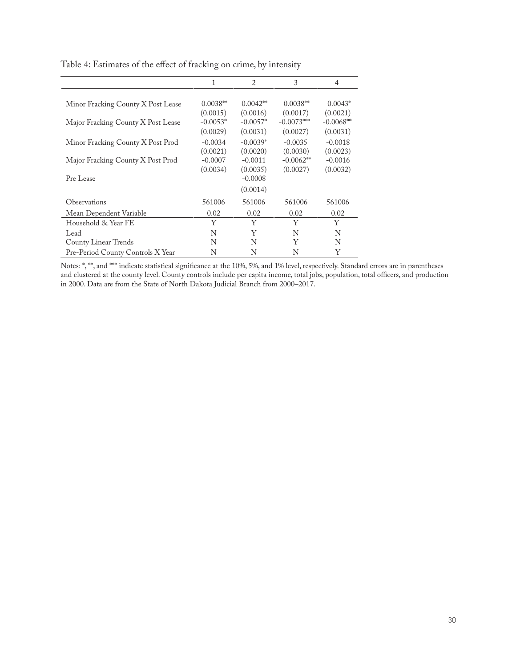|                                    | 1           | $\overline{2}$ | 3            | $\overline{4}$ |
|------------------------------------|-------------|----------------|--------------|----------------|
|                                    |             |                |              |                |
| Minor Fracking County X Post Lease | $-0.0038**$ | $-0.0042**$    | $-0.0038**$  | $-0.0043*$     |
|                                    | (0.0015)    | (0.0016)       | (0.0017)     | (0.0021)       |
| Major Fracking County X Post Lease | $-0.0053*$  | $-0.0057*$     | $-0.0073***$ | $-0.0068**$    |
|                                    | (0.0029)    | (0.0031)       | (0.0027)     | (0.0031)       |
| Minor Fracking County X Post Prod  | $-0.0034$   | $-0.0039*$     | $-0.0035$    | $-0.0018$      |
|                                    | (0.0021)    | (0.0020)       | (0.0030)     | (0.0023)       |
| Major Fracking County X Post Prod  | $-0.0007$   | $-0.0011$      | $-0.0062**$  | $-0.0016$      |
|                                    | (0.0034)    | (0.0035)       | (0.0027)     | (0.0032)       |
| Pre Lease                          |             | $-0.0008$      |              |                |
|                                    |             | (0.0014)       |              |                |
| Observations                       | 561006      | 561006         | 561006       | 561006         |
| Mean Dependent Variable            | 0.02        | 0.02           | 0.02         | 0.02           |
| Household & Year FE                | Y           | Y              | Y            | Y              |
| Lead                               | N           | Y              | N            | N              |
| County Linear Trends               | N           | N              | Y            | N              |
| Pre-Period County Controls X Year  | N           | N              | N            | Y              |

Table 4: Estimates of the effect of fracking on crime, by intensity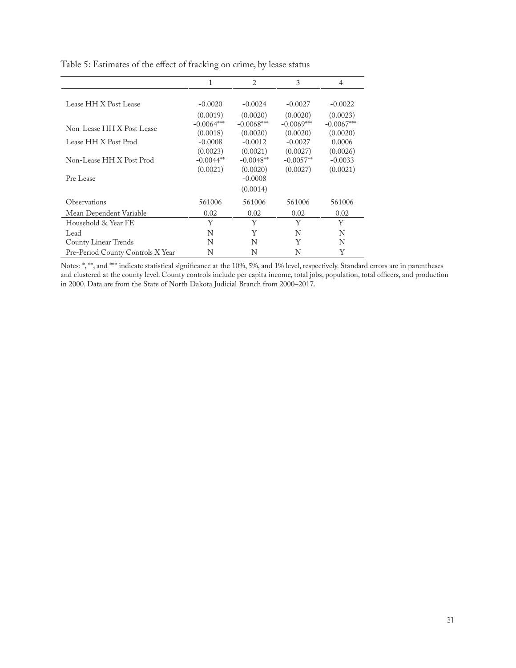|                                   | 1            | 2            | 3            | 4            |
|-----------------------------------|--------------|--------------|--------------|--------------|
|                                   |              |              |              |              |
| Lease HH X Post Lease             | $-0.0020$    | $-0.0024$    | $-0.0027$    | $-0.0022$    |
|                                   | (0.0019)     | (0.0020)     | (0.0020)     | (0.0023)     |
| Non-Lease HH X Post Lease         | $-0.0064***$ | $-0.0068***$ | $-0.0069***$ | $-0.0067***$ |
|                                   | (0.0018)     | (0.0020)     | (0.0020)     | (0.0020)     |
| Lease HH X Post Prod              | $-0.0008$    | $-0.0012$    | $-0.0027$    | 0.0006       |
|                                   | (0.0023)     | (0.0021)     | (0.0027)     | (0.0026)     |
| Non-Lease HH X Post Prod          | $-0.0044**$  | $-0.0048**$  | $-0.0057**$  | $-0.0033$    |
|                                   | (0.0021)     | (0.0020)     | (0.0027)     | (0.0021)     |
| Pre Lease                         |              | $-0.0008$    |              |              |
|                                   |              | (0.0014)     |              |              |
| Observations                      | 561006       | 561006       | 561006       | 561006       |
| Mean Dependent Variable           | 0.02         | 0.02         | 0.02         | 0.02         |
| Household & Year FE               | Y            | Y            | Y            | Y            |
| Lead                              | N            | Y            | N            | N            |
| County Linear Trends              | N            | N            | Y            | N            |
| Pre-Period County Controls X Year | N            | N            | N            | Y            |

Table 5: Estimates of the effect of fracking on crime, by lease status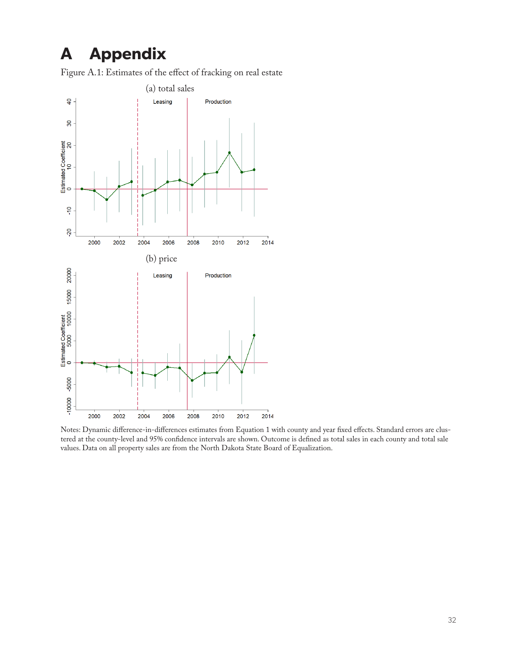### **A Appendix**

Figure A.1: Estimates of the effect of fracking on real estate



Notes: Dynamic difference-in-differences estimates from Equation 1 with county and year fixed effects. Standard errors are clustered at the county-level and 95% confidence intervals are shown. Outcome is defined as total sales in each county and total sale values. Data on all property sales are from the North Dakota State Board of Equalization.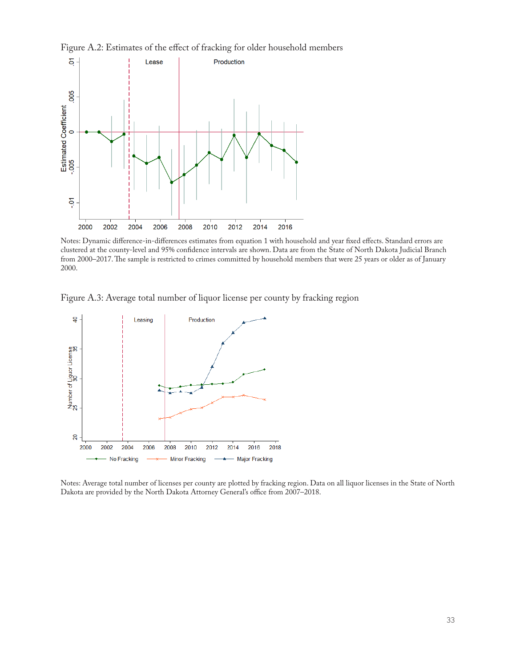



Notes: Dynamic difference-in-differences estimates from equation 1 with household and year fixed effects. Standard errors are clustered at the county-level and 95% confidence intervals are shown. Data are from the State of North Dakota Judicial Branch from 2000–2017. The sample is restricted to crimes committed by household members that were 25 years or older as of January 2000.

Figure A.3: Average total number of liquor license per county by fracking region



Notes: Average total number of licenses per county are plotted by fracking region. Data on all liquor licenses in the State of North Dakota are provided by the North Dakota Attorney General's office from 2007–2018.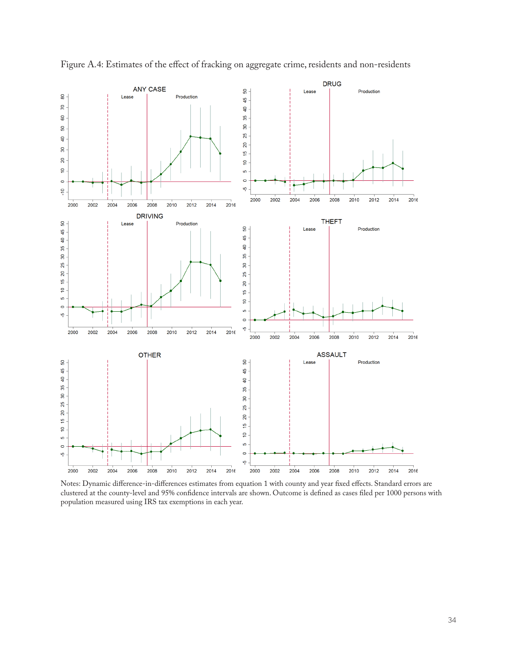

Figure A.4: Estimates of the effect of fracking on aggregate crime, residents and non-residents

Notes: Dynamic difference-in-differences estimates from equation 1 with county and year fixed effects. Standard errors are clustered at the county-level and 95% confidence intervals are shown. Outcome is defined as cases filed per 1000 persons with population measured using IRS tax exemptions in each year.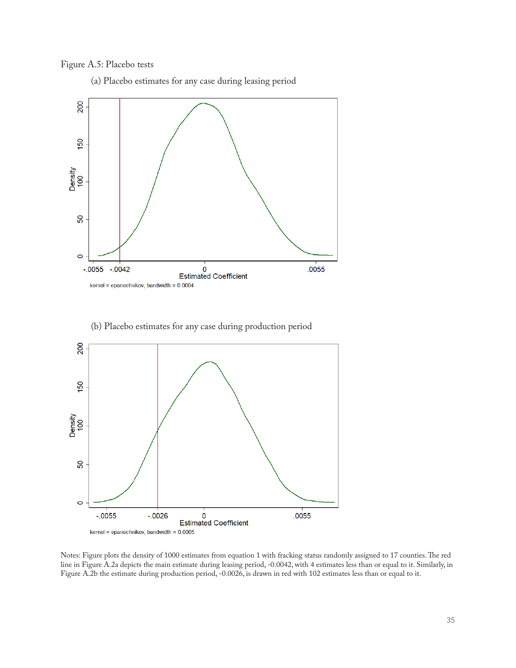#### Figure A.5: Placebo tests

(a) Placebo estimates for any case during leasing period



(b) Placebo estimates for any case during production period



Notes: Figure plots the density of 1000 estimates from equation 1 with fracking status randomly assigned to 17 counties. The red line in Figure A.2a depicts the main estimate during leasing period, -0.0042, with 4 estimates less than or equal to it. Similarly, in Figure A.2b the estimate during production period, -0.0026, is drawn in red with 102 estimates less than or equal to it.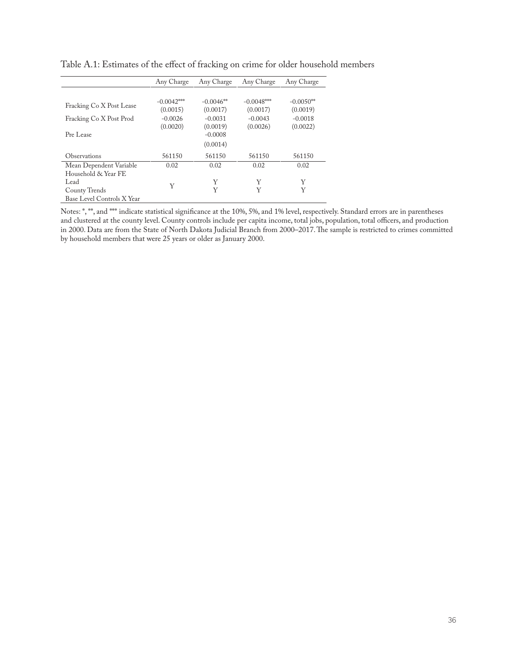|                            | Any Charge   | Any Charge  | Any Charge   | Any Charge  |
|----------------------------|--------------|-------------|--------------|-------------|
|                            |              |             |              |             |
| Fracking Co X Post Lease   | $-0.0042***$ | $-0.0046**$ | $-0.0048***$ | $-0.0050**$ |
|                            | (0.0015)     | (0.0017)    | (0.0017)     | (0.0019)    |
| Fracking Co X Post Prod    | $-0.0026$    | $-0.0031$   | $-0.0043$    | $-0.0018$   |
|                            | (0.0020)     | (0.0019)    | (0.0026)     | (0.0022)    |
| Pre Lease                  |              | $-0.0008$   |              |             |
|                            |              | (0.0014)    |              |             |
| Observations               | 561150       | 561150      | 561150       | 561150      |
| Mean Dependent Variable    | 0.02         | 0.02        | 0.02         | 0.02        |
| Household & Year FE        |              |             |              |             |
| Lead                       | Y            | Y           | Y            | Y           |
| County Trends              |              | Y           | Y            | Y           |
| Base Level Controls X Year |              |             |              |             |

Table A.1: Estimates of the effect of fracking on crime for older household members

Notes: \*, \*\*, and \*\*\* indicate statistical significance at the 10%, 5%, and 1% level, respectively. Standard errors are in parentheses and clustered at the county level. County controls include per capita income, total jobs, population, total officers, and production in 2000. Data are from the State of North Dakota Judicial Branch from 2000–2017. The sample is restricted to crimes committed by household members that were 25 years or older as January 2000.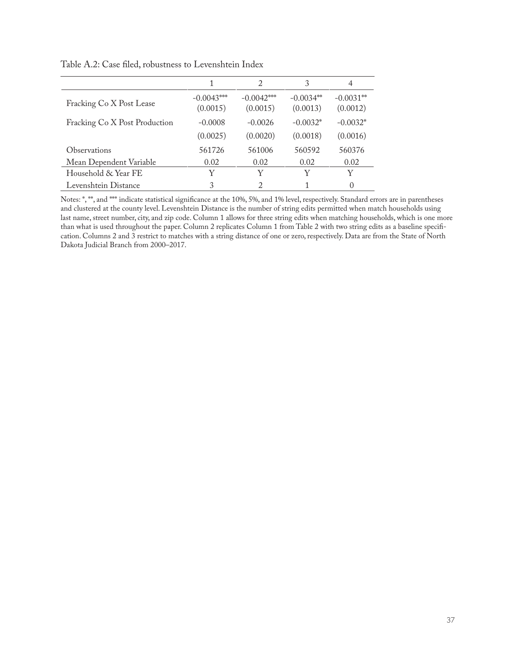|                               |                          | $\mathcal{D}_{\mathcal{L}}$ | 3                        | 4                       |
|-------------------------------|--------------------------|-----------------------------|--------------------------|-------------------------|
| Fracking Co X Post Lease      | $-0.0043***$<br>(0.0015) | $-0.0042***$<br>(0.0015)    | $-0.0034***$<br>(0.0013) | $-0.0031**$<br>(0.0012) |
| Fracking Co X Post Production | $-0.0008$                | $-0.0026$                   | $-0.0032*$               | $-0.0032*$              |
|                               | (0.0025)                 | (0.0020)                    | (0.0018)                 | (0.0016)                |
| Observations                  | 561726                   | 561006                      | 560592                   | 560376                  |
| Mean Dependent Variable       | 0.02                     | 0.02                        | 0.02                     | 0.02                    |
| Household & Year FE           | Y                        | Y                           |                          | Y                       |
| Levenshtein Distance          | 3                        | $\mathfrak{D}$              |                          | $\Omega$                |

Table A.2: Case filed, robustness to Levenshtein Index

Notes: \*, \*\*, and \*\*\* indicate statistical significance at the 10%, 5%, and 1% level, respectively. Standard errors are in parentheses and clustered at the county level. Levenshtein Distance is the number of string edits permitted when match households using last name, street number, city, and zip code. Column 1 allows for three string edits when matching households, which is one more than what is used throughout the paper. Column 2 replicates Column 1 from Table 2 with two string edits as a baseline specification. Columns 2 and 3 restrict to matches with a string distance of one or zero, respectively. Data are from the State of North Dakota Judicial Branch from 2000–2017.